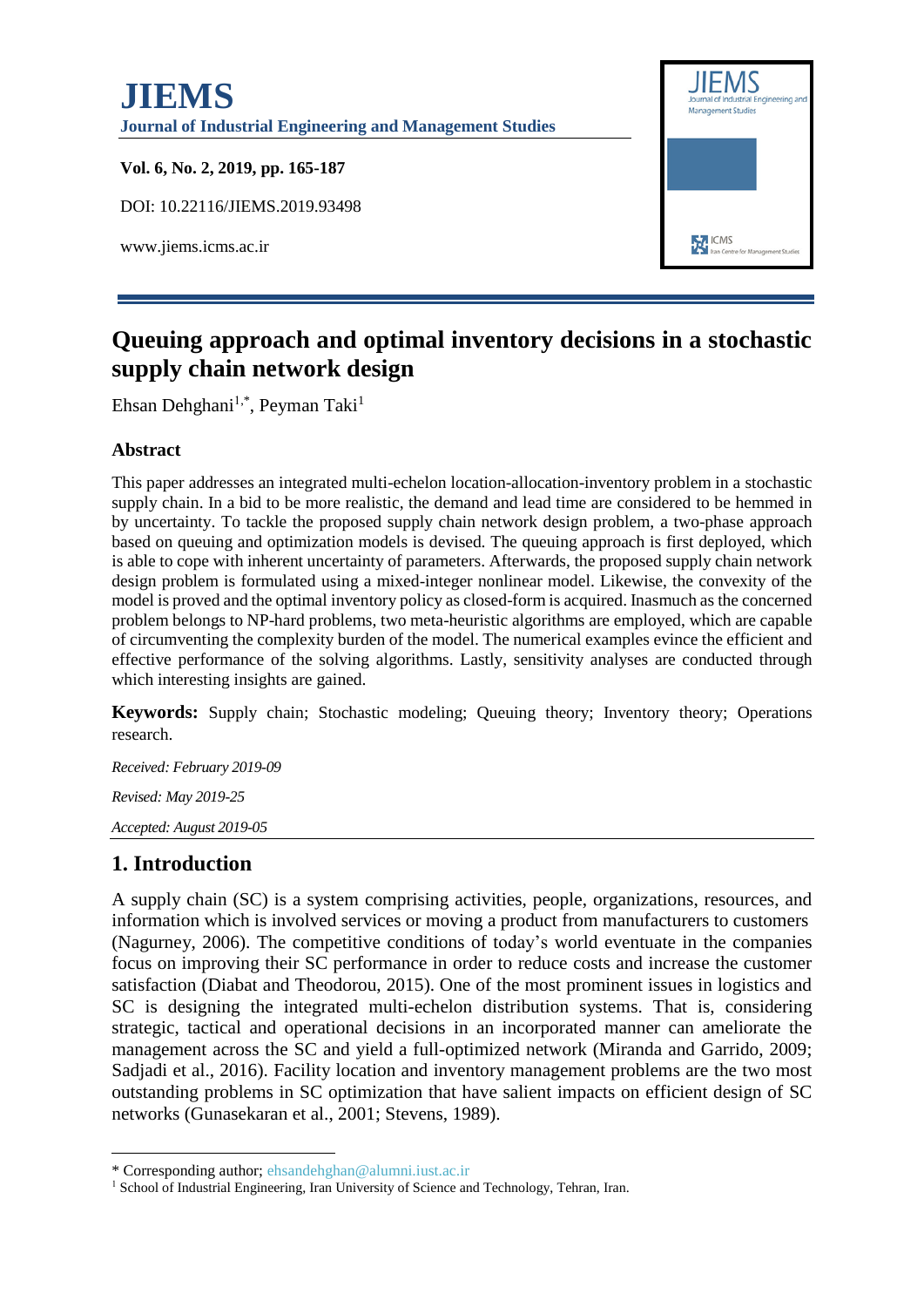

# **Queuing approach and optimal inventory decisions in a stochastic supply chain network design**

Ehsan Dehghani<sup>1,\*</sup>, Peyman Taki<sup>1</sup>

#### **Abstract**

This paper addresses an integrated multi-echelon location-allocation-inventory problem in a stochastic supply chain. In a bid to be more realistic, the demand and lead time are considered to be hemmed in by uncertainty. To tackle the proposed supply chain network design problem, a two-phase approach based on queuing and optimization models is devised. The queuing approach is first deployed, which is able to cope with inherent uncertainty of parameters. Afterwards, the proposed supply chain network design problem is formulated using a mixed-integer nonlinear model. Likewise, the convexity of the model is proved and the optimal inventory policy as closed-form is acquired. Inasmuch as the concerned problem belongs to NP-hard problems, two meta-heuristic algorithms are employed, which are capable of circumventing the complexity burden of the model. The numerical examples evince the efficient and effective performance of the solving algorithms. Lastly, sensitivity analyses are conducted through which interesting insights are gained.

**Keywords:** Supply chain; Stochastic modeling; Queuing theory; Inventory theory; Operations research.

*Received: February 2019-09*

*Revised: May 2019-25*

*Accepted: August 2019-05*

### **1. Introduction**

1

A supply chain (SC) is a system comprising activities, people, organizations, resources, and information which is involved services or moving a product from manufacturers to customers [\(Nagurney, 2006\)](#page-21-0). The competitive conditions of today's world eventuate in the companies focus on improving their SC performance in order to reduce costs and increase the customer satisfaction [\(Diabat and Theodorou, 2015\)](#page-20-0). One of the most prominent issues in logistics and SC is designing the integrated multi-echelon distribution systems. That is, considering strategic, tactical and operational decisions in an incorporated manner can ameliorate the management across the SC and yield a full-optimized network [\(Miranda and Garrido, 2009;](#page-20-1) [Sadjadi et al., 2016\)](#page-21-1). Facility location and inventory management problems are the two most outstanding problems in SC optimization that have salient impacts on efficient design of SC networks [\(Gunasekaran et al., 2001;](#page-20-2) [Stevens, 1989\)](#page-21-2).

<sup>\*</sup> Corresponding author; ehsandehghan@alumni.iust.ac.ir

<sup>&</sup>lt;sup>1</sup> School of Industrial Engineering, Iran University of Science and Technology, Tehran, Iran.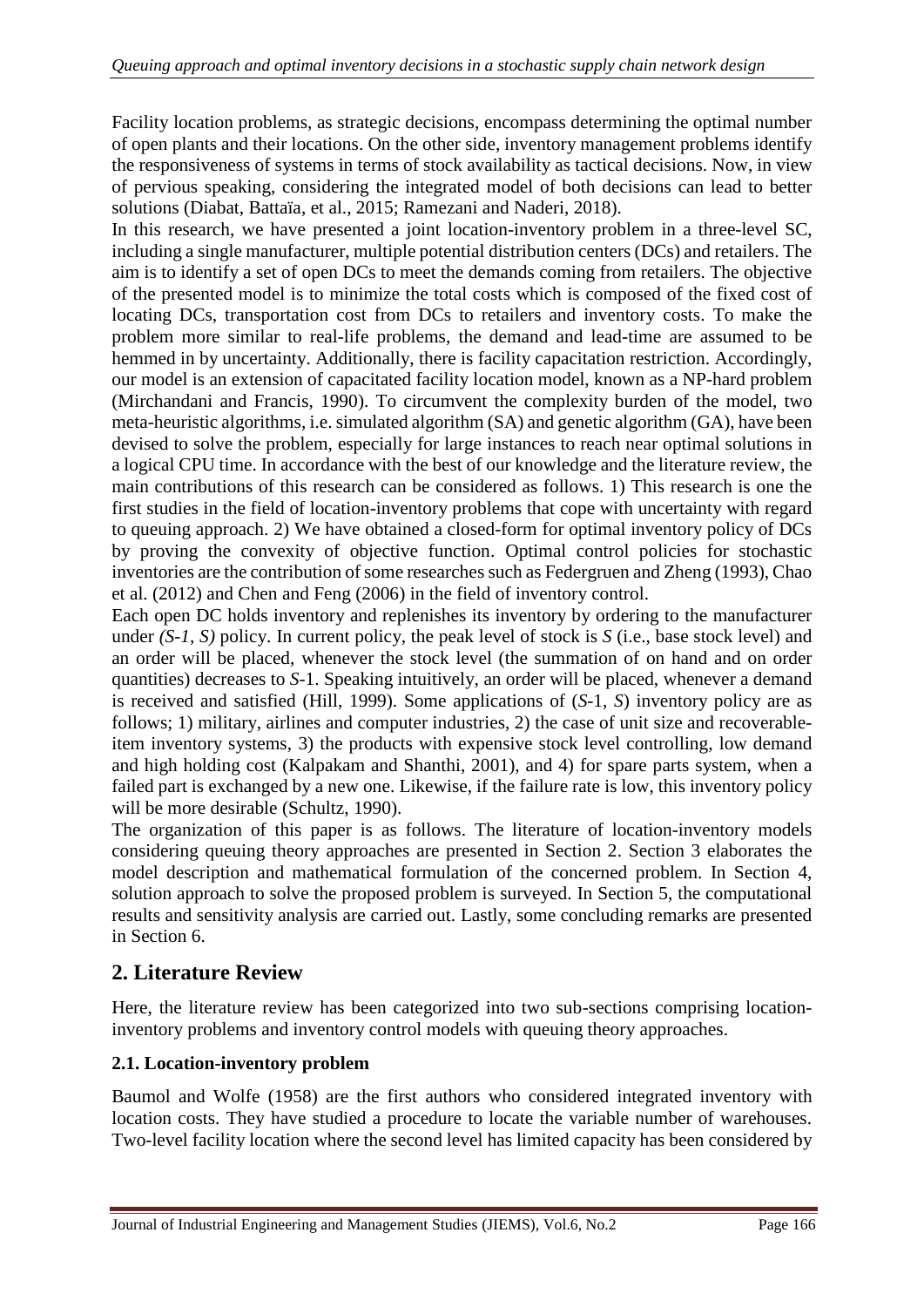Facility location problems, as strategic decisions, encompass determining the optimal number of open plants and their locations. On the other side, inventory management problems identify the responsiveness of systems in terms of stock availability as tactical decisions. Now, in view of pervious speaking, considering the integrated model of both decisions can lead to better solutions [\(Diabat, Battaïa, et al., 2015;](#page-20-3) [Ramezani and Naderi, 2018\)](#page-21-3).

In this research, we have presented a joint location-inventory problem in a three-level SC, including a single manufacturer, multiple potential distribution centers (DCs) and retailers. The aim is to identify a set of open DCs to meet the demands coming from retailers. The objective of the presented model is to minimize the total costs which is composed of the fixed cost of locating DCs, transportation cost from DCs to retailers and inventory costs. To make the problem more similar to real-life problems, the demand and lead-time are assumed to be hemmed in by uncertainty. Additionally, there is facility capacitation restriction. Accordingly, our model is an extension of capacitated facility location model, known as a NP-hard problem [\(Mirchandani and Francis, 1990\)](#page-20-4). To circumvent the complexity burden of the model, two meta-heuristic algorithms, i.e. simulated algorithm (SA) and genetic algorithm (GA), have been devised to solve the problem, especially for large instances to reach near optimal solutions in a logical CPU time. In accordance with the best of our knowledge and the literature review, the main contributions of this research can be considered as follows. 1) This research is one the first studies in the field of location-inventory problems that cope with uncertainty with regard to queuing approach. 2) We have obtained a closed-form for optimal inventory policy of DCs by proving the convexity of objective function. Optimal control policies for stochastic inventories are the contribution of some researches such as [Federgruen and Zheng \(1993\)](#page-20-5), [Chao](#page-19-0)  [et al. \(2012\)](#page-19-0) and [Chen and Feng \(2006\)](#page-20-6) in the field of inventory control.

Each open DC holds inventory and replenishes its inventory by ordering to the manufacturer under *(S-1, S)* policy. In current policy, the peak level of stock is *S* (i.e., base stock level) and an order will be placed, whenever the stock level (the summation of on hand and on order quantities) decreases to *S*-1. Speaking intuitively, an order will be placed, whenever a demand is received and satisfied [\(Hill, 1999\)](#page-20-7). Some applications of (*S-*1, *S*) inventory policy are as follows; 1) military, airlines and computer industries, 2) the case of unit size and recoverableitem inventory systems, 3) the products with expensive stock level controlling, low demand and high holding cost [\(Kalpakam and Shanthi, 2001\)](#page-20-8), and 4) for spare parts system, when a failed part is exchanged by a new one. Likewise, if the failure rate is low, this inventory policy will be more desirable [\(Schultz, 1990\)](#page-21-4).

The organization of this paper is as follows. The literature of location-inventory models considering queuing theory approaches are presented in Section 2. Section 3 elaborates the model description and mathematical formulation of the concerned problem. In Section 4, solution approach to solve the proposed problem is surveyed. In Section 5, the computational results and sensitivity analysis are carried out. Lastly, some concluding remarks are presented in Section 6.

## **2. Literature Review**

Here, the literature review has been categorized into two sub-sections comprising locationinventory problems and inventory control models with queuing theory approaches.

### **2.1. Location-inventory problem**

[Baumol and Wolfe \(1958\)](#page-19-1) are the first authors who considered integrated inventory with location costs. They have studied a procedure to locate the variable number of warehouses. Two-level facility location where the second level has limited capacity has been considered by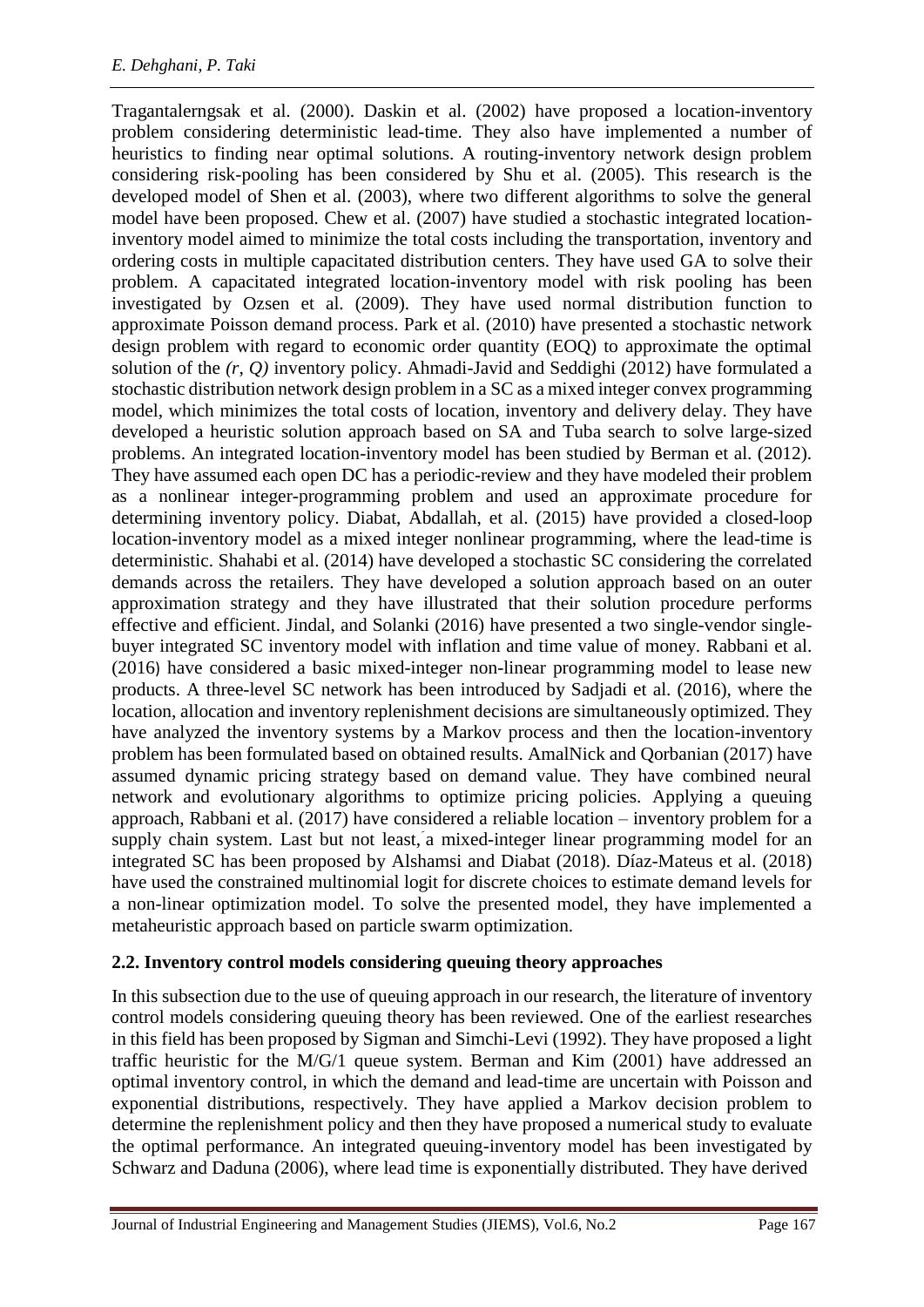[Tragantalerngsak et al. \(2000\)](#page-21-5). [Daskin et al. \(2002\)](#page-20-9) have proposed a location-inventory problem considering deterministic lead-time. They also have implemented a number of heuristics to finding near optimal solutions. A routing-inventory network design problem considering risk-pooling has been considered by [Shu et al. \(2005\)](#page-21-6). This research is the developed model of [Shen et al. \(2003\)](#page-21-7), where two different algorithms to solve the general model have been proposed. [Chew et al. \(2007\)](#page-20-10) have studied a stochastic integrated locationinventory model aimed to minimize the total costs including the transportation, inventory and ordering costs in multiple capacitated distribution centers. They have used GA to solve their problem. A capacitated integrated location-inventory model with risk pooling has been investigated by [Ozsen et al. \(2009\)](#page-21-8). They have used normal distribution function to approximate Poisson demand process. [Park et al. \(2010\)](#page-21-9) have presented a stochastic network design problem with regard to economic order quantity (EOQ) to approximate the optimal solution of the *(r, Q)* inventory policy. [Ahmadi-Javid and Seddighi \(2012\)](#page-19-2) have formulated a stochastic distribution network design problem in a SC as a mixed integer convex programming model, which minimizes the total costs of location, inventory and delivery delay. They have developed a heuristic solution approach based on SA and Tuba search to solve large-sized problems. An integrated location-inventory model has been studied by [Berman et al. \(2012\)](#page-19-3). They have assumed each open DC has a periodic-review and they have modeled their problem as a nonlinear integer-programming problem and used an approximate procedure for determining inventory policy. [Diabat, Abdallah, et al. \(2015\)](#page-20-11) have provided a closed-loop location-inventory model as a mixed integer nonlinear programming, where the lead-time is deterministic. [Shahabi et al. \(2014\)](#page-21-10) have developed a stochastic SC considering the correlated demands across the retailers. They have developed a solution approach based on an outer approximation strategy and they have illustrated that their solution procedure performs effective and efficient. Jindal, and Solanki (2016) have presented a two single-vendor singlebuyer integrated SC inventory model with inflation and time value of money. [Rabbani et al.](#page-21-11)  [\(2016](#page-21-11)) have considered a basic mixed-integer non-linear programming model to lease new products. A three-level SC network has been introduced by [Sadjadi et al. \(2016\)](#page-21-1), where the location, allocation and inventory replenishment decisions are simultaneously optimized. They have analyzed the inventory systems by a Markov process and then the location-inventory problem has been formulated based on obtained results. AmalNick and Qorbanian (2017) have assumed dynamic pricing strategy based on demand value. They have combined neural network and evolutionary algorithms to optimize pricing policies. Applying a queuing approach, [Rabbani et al. \(2017\)](#page-21-11) have considered a reliable location – inventory problem for a supply chain system. Last but not least, a mixed-integer linear programming model for an integrated SC has been proposed by [Alshamsi and Diabat \(2018\)](#page-19-4). Díaz-Mateus et al. (2018) have used the constrained multinomial logit for discrete choices to estimate demand levels for a non-linear optimization model. To solve the presented model, they have implemented a metaheuristic approach based on particle swarm optimization.

### **2.2. Inventory control models considering queuing theory approaches**

In this subsection due to the use of queuing approach in our research, the literature of inventory control models considering queuing theory has been reviewed. One of the earliest researches in this field has been proposed by [Sigman and Simchi-Levi \(1992\)](#page-21-12). They have proposed a light traffic heuristic for the M/G/1 queue system. [Berman and Kim \(2001\)](#page-19-5) have addressed an optimal inventory control, in which the demand and lead-time are uncertain with Poisson and exponential distributions, respectively. They have applied a Markov decision problem to determine the replenishment policy and then they have proposed a numerical study to evaluate the optimal performance. An integrated queuing-inventory model has been investigated by [Schwarz and Daduna \(2006\)](#page-21-13), where lead time is exponentially distributed. They have derived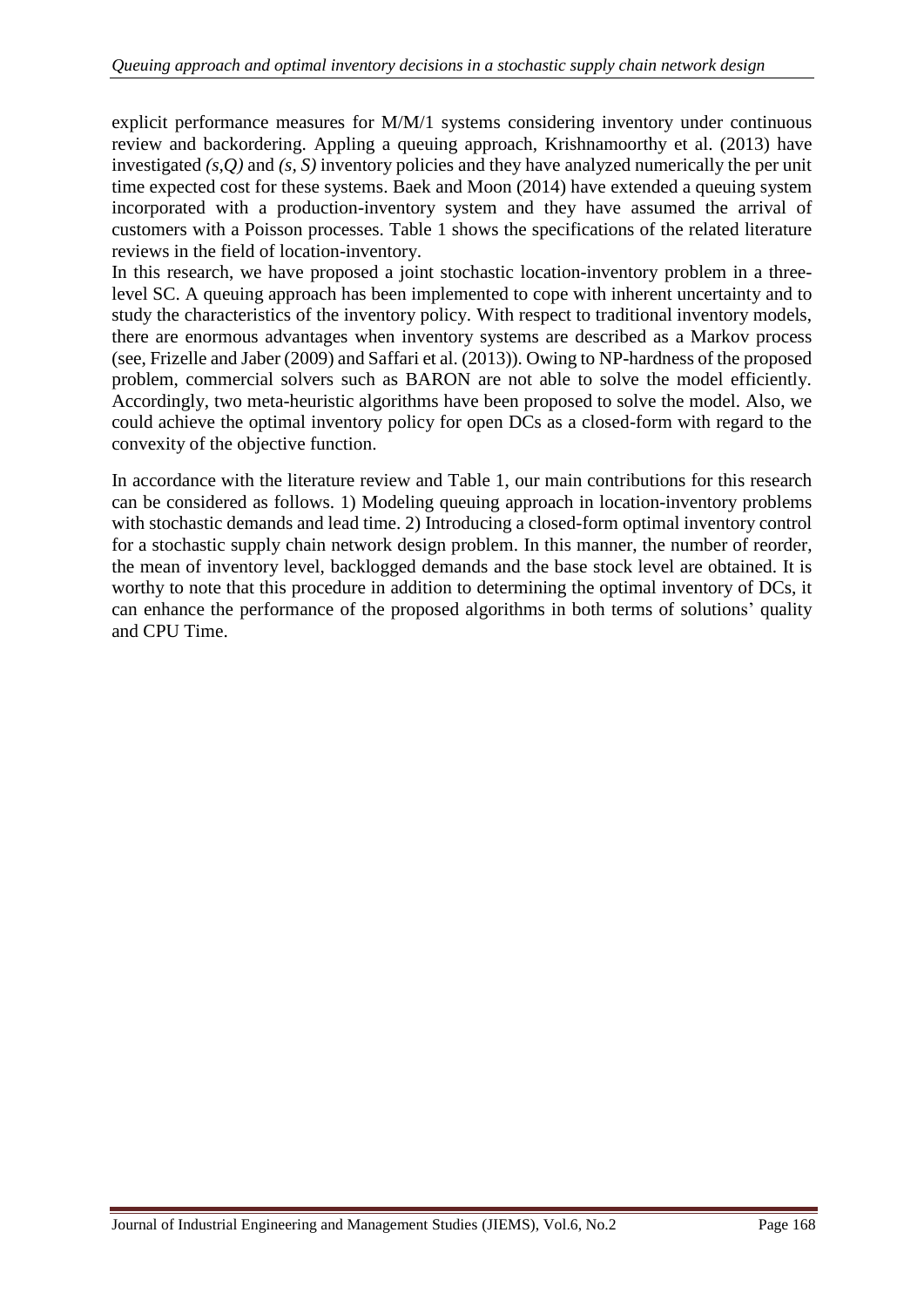explicit performance measures for M/M/1 systems considering inventory under continuous review and backordering. Appling a queuing approach, [Krishnamoorthy et al. \(2013\)](#page-20-12) have investigated *(s,Q)* and *(s, S)* inventory policies and they have analyzed numerically the per unit time expected cost for these systems. [Baek and Moon \(2014\)](#page-19-6) have extended a queuing system incorporated with a production-inventory system and they have assumed the arrival of customers with a Poisson processes. Table 1 shows the specifications of the related literature reviews in the field of location-inventory.

In this research, we have proposed a joint stochastic location-inventory problem in a threelevel SC. A queuing approach has been implemented to cope with inherent uncertainty and to study the characteristics of the inventory policy. With respect to traditional inventory models, there are enormous advantages when inventory systems are described as a Markov process (see, [Frizelle and Jaber \(2009\)](#page-20-13) an[d Saffari et al. \(2013\)](#page-21-14)). Owing to NP-hardness of the proposed problem, commercial solvers such as BARON are not able to solve the model efficiently. Accordingly, two meta-heuristic algorithms have been proposed to solve the model. Also, we could achieve the optimal inventory policy for open DCs as a closed-form with regard to the convexity of the objective function.

In accordance with the literature review and Table 1, our main contributions for this research can be considered as follows. 1) Modeling queuing approach in location-inventory problems with stochastic demands and lead time. 2) Introducing a closed-form optimal inventory control for a stochastic supply chain network design problem. In this manner, the number of reorder, the mean of inventory level, backlogged demands and the base stock level are obtained. It is worthy to note that this procedure in addition to determining the optimal inventory of DCs, it can enhance the performance of the proposed algorithms in both terms of solutions' quality and CPU Time.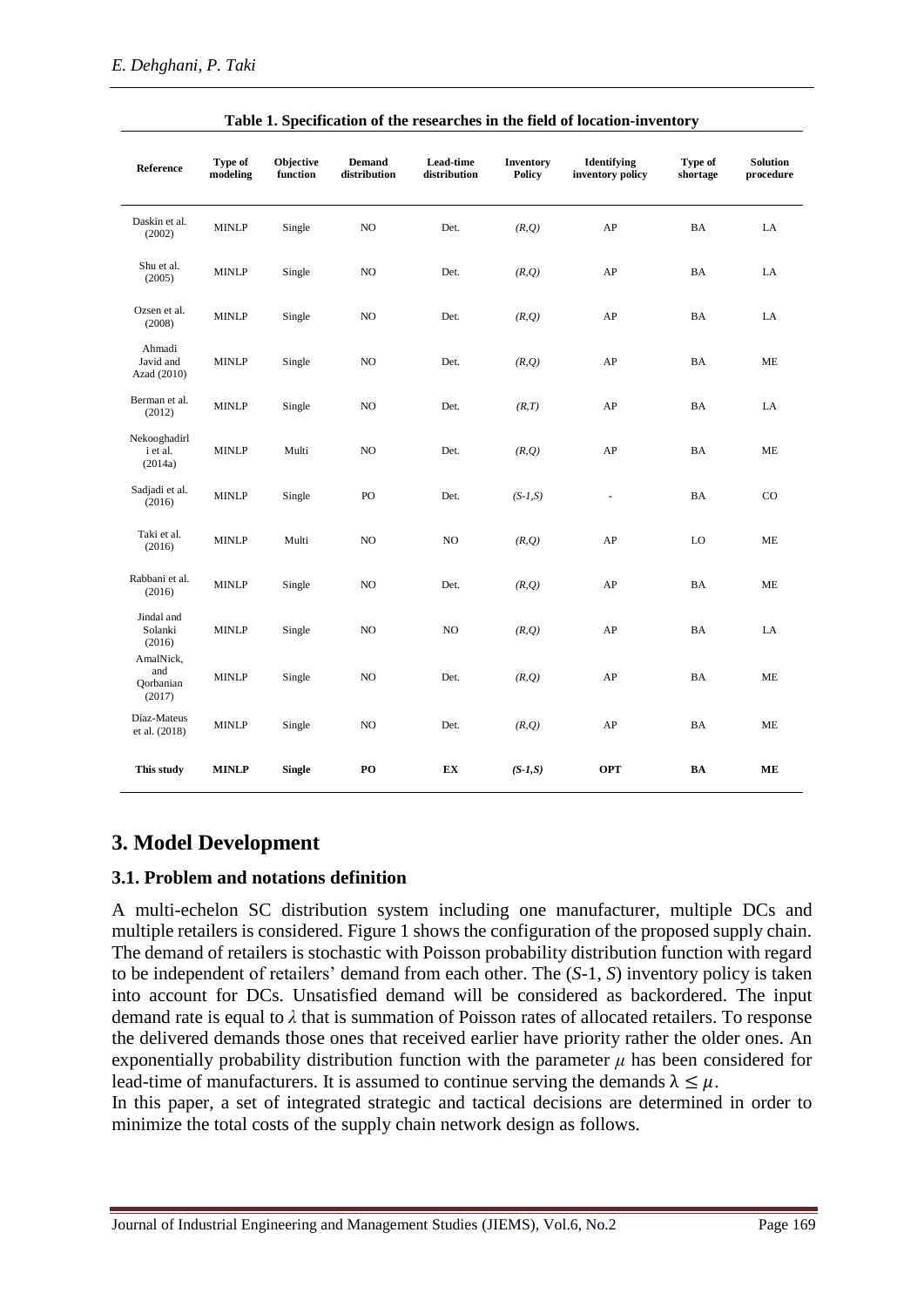| Reference                               | Type of<br>modeling | Objective<br>function | <b>Demand</b><br>distribution | Lead-time<br>distribution | <b>Inventory</b><br><b>Policy</b> | Identifying<br>inventory policy | Type of<br>shortage | <b>Solution</b><br>procedure |
|-----------------------------------------|---------------------|-----------------------|-------------------------------|---------------------------|-----------------------------------|---------------------------------|---------------------|------------------------------|
| Daskin et al.<br>(2002)                 | <b>MINLP</b>        | Single                | NO                            | Det.                      | (R,Q)                             | AP                              | BA                  | LA                           |
| Shu et al.<br>(2005)                    | <b>MINLP</b>        | Single                | NO                            | Det.                      | (R,Q)                             | AP                              | BA                  | LA                           |
| Ozsen et al.<br>(2008)                  | <b>MINLP</b>        | Single                | NO.                           | Det.                      | (R, Q)                            | AP                              | BA                  | LA                           |
| Ahmadi<br>Javid and<br>Azad (2010)      | <b>MINLP</b>        | Single                | NO                            | Det.                      | (R, Q)                            | AP                              | BA                  | ME                           |
| Berman et al.<br>(2012)                 | <b>MINLP</b>        | Single                | NO                            | Det.                      | (R, T)                            | AP                              | BA                  | LA                           |
| Nekooghadirl<br>i et al.<br>(2014a)     | MINLP               | Multi                 | NO                            | Det.                      | (R,Q)                             | AP                              | BA                  | ME                           |
| Sadjadi et al.<br>(2016)                | <b>MINLP</b>        | Single                | PO                            | Det.                      | $(S-1,S)$                         | $\overline{\phantom{a}}$        | BA                  | $_{\rm CO}$                  |
| Taki et al.<br>(2016)                   | <b>MINLP</b>        | Multi                 | N <sub>O</sub>                | NO.                       | (R,Q)                             | AP                              | LO                  | ME                           |
| Rabbani et al.<br>(2016)                | <b>MINLP</b>        | Single                | NO.                           | Det.                      | (R, Q)                            | AP                              | BA                  | ME                           |
| Jindal and<br>Solanki<br>(2016)         | <b>MINLP</b>        | Single                | NO.                           | NO                        | (R, Q)                            | AP                              | BA                  | LA                           |
| AmalNick,<br>and<br>Qorbanian<br>(2017) | <b>MINLP</b>        | Single                | NO                            | Det.                      | (R, Q)                            | AP                              | BA                  | ME                           |
| Díaz-Mateus<br>et al. (2018)            | <b>MINLP</b>        | Single                | NO.                           | Det.                      | (R, Q)                            | AP                              | BA                  | ME                           |
| This study                              | <b>MINLP</b>        | <b>Single</b>         | PO                            | EX                        | $(S-1,S)$                         | <b>OPT</b>                      | BA                  | ME                           |

#### **Table 1. Specification of the researches in the field of location-inventory**

### **3. Model Development**

#### **3.1. Problem and notations definition**

A multi-echelon SC distribution system including one manufacturer, multiple DCs and multiple retailers is considered. Figure 1 shows the configuration of the proposed supply chain. The demand of retailers is stochastic with Poisson probability distribution function with regard to be independent of retailers' demand from each other. The (*S*-1, *S*) inventory policy is taken into account for DCs. Unsatisfied demand will be considered as backordered. The input demand rate is equal to *λ* that is summation of Poisson rates of allocated retailers. To response the delivered demands those ones that received earlier have priority rather the older ones. An exponentially probability distribution function with the parameter  $\mu$  has been considered for lead-time of manufacturers. It is assumed to continue serving the demands  $\lambda \leq \mu$ .

In this paper, a set of integrated strategic and tactical decisions are determined in order to minimize the total costs of the supply chain network design as follows.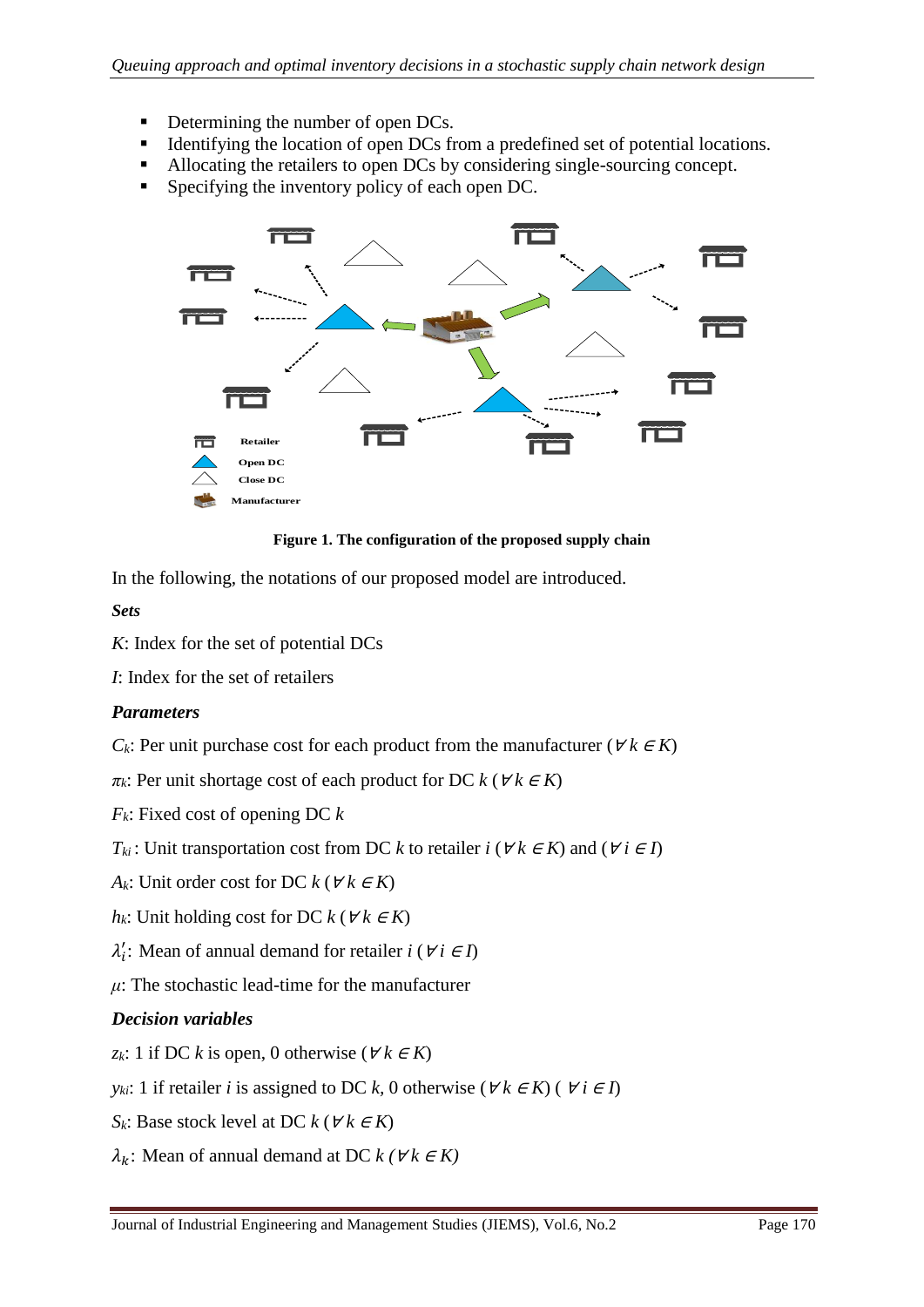- Determining the number of open DCs.
- Identifying the location of open DCs from a predefined set of potential locations.
- Allocating the retailers to open DCs by considering single-sourcing concept.
- **Specifying the inventory policy of each open DC.**



**Figure 1. The configuration of the proposed supply chain**

In the following, the notations of our proposed model are introduced.

*Sets*

- *K*: Index for the set of potential DCs
- *I*: Index for the set of retailers

### *Parameters*

- *C*<sub>*k*</sub>: Per unit purchase cost for each product from the manufacturer ( $\forall k \in K$ )
- $\pi_k$ : Per unit shortage cost of each product for DC  $k$  ( $\forall k \in K$ )
- *Fk*: Fixed cost of opening DC *k*
- *T<sub>ki</sub>*: Unit transportation cost from DC *k* to retailer *i* ( $\forall k \in K$ ) and ( $\forall i \in I$ )
- *A*<sup>*k*</sup>: Unit order cost for DC  $k$  ( $\forall k \in K$ )
- *h*<sub>*k*</sub>: Unit holding cost for DC  $k$  ( $\forall k \in K$ )
- $\lambda'_i$ : Mean of annual demand for retailer *i* ( $\forall i \in I$ )
- $\mu$ : The stochastic lead-time for the manufacturer

### *Decision variables*

- *z*<sup>*k*</sup>: 1 if DC *k* is open, 0 otherwise (∀ *k* ∈ *K*)
- *y*<sub>*ki</sub>*: 1 if retailer *i* is assigned to DC *k*, 0 otherwise ( $\forall k \in K$ ) ( $\forall i \in I$ )</sub>
- *S*<sub>*k*</sub>: Base stock level at DC  $k$  ( $\forall k \in K$ )
- $\lambda_k$ : Mean of annual demand at DC  $k$  ( $\forall k \in K$ )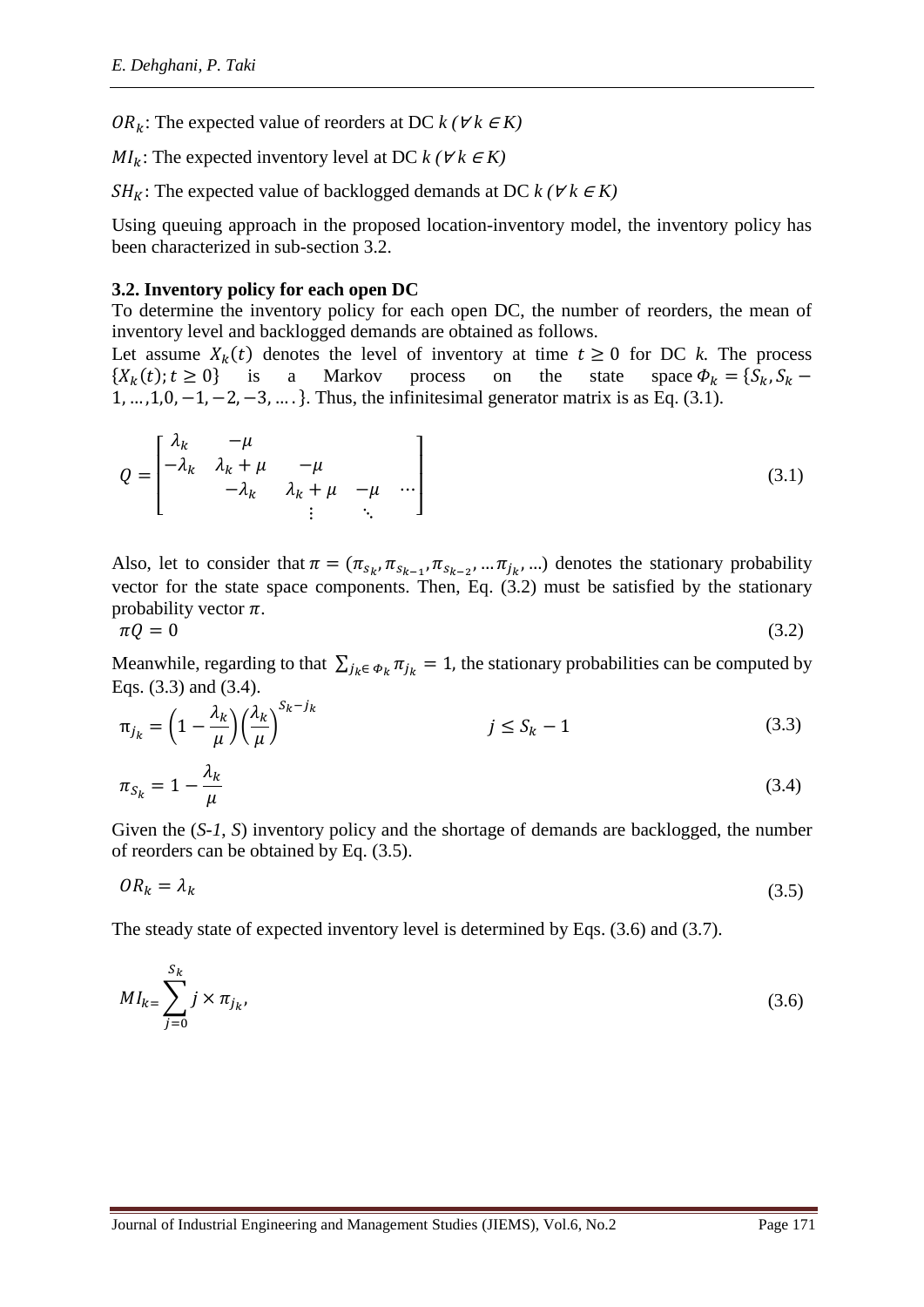OR<sub>k</sub>: The expected value of reorders at DC  $k$  ( $\forall k \in K$ )

 $MI_k$ : The expected inventory level at DC  $k$  ( $\forall k \in K$ )

SH<sub>K</sub>: The expected value of backlogged demands at DC  $k$  ( $\forall k \in K$ )

Using queuing approach in the proposed location-inventory model, the inventory policy has been characterized in sub-section 3.2.

#### **3.2. Inventory policy for each open DC**

To determine the inventory policy for each open DC, the number of reorders, the mean of inventory level and backlogged demands are obtained as follows.

Let assume  $X_k(t)$  denotes the level of inventory at time  $t \ge 0$  for DC *k*. The process  $\{X_k(t); t \ge 0\}$  is a Markov process on the state space  $\Phi_k = \{S_k, S_k -$ 1, … ,1,0, −1, −2, −3, … .}. Thus, the infinitesimal generator matrix is as Eq. (3.1).

$$
Q = \begin{bmatrix} \lambda_k & -\mu & & \\ -\lambda_k & \lambda_k + \mu & -\mu & \\ -\lambda_k & \lambda_k + \mu & -\mu & \cdots \\ \vdots & \ddots & \end{bmatrix} \tag{3.1}
$$

Also, let to consider that  $\pi = (\pi_{s_k}, \pi_{s_{k-1}}, \pi_{s_{k-2}}, \dots \pi_{j_k}, \dots)$  denotes the stationary probability vector for the state space components. Then, Eq. (3.2) must be satisfied by the stationary probability vector  $\pi$ .

$$
\pi Q = 0 \tag{3.2}
$$

Meanwhile, regarding to that  $\sum_{j_k \in \Phi_k} \pi_{j_k} = 1$ , the stationary probabilities can be computed by Eqs. (3.3) and (3.4).

$$
\pi_{j_k} = \left(1 - \frac{\lambda_k}{\mu}\right) \left(\frac{\lambda_k}{\mu}\right)^{S_k - j_k} \qquad j \le S_k - 1 \tag{3.3}
$$

$$
\pi_{S_k} = 1 - \frac{\lambda_k}{\mu} \tag{3.4}
$$

Given the (*S-1*, *S*) inventory policy and the shortage of demands are backlogged, the number of reorders can be obtained by Eq. (3.5).

$$
OR_k = \lambda_k \tag{3.5}
$$

The steady state of expected inventory level is determined by Eqs. (3.6) and (3.7).

$$
MI_{k} = \sum_{j=0}^{S_k} j \times \pi_{j_k},\tag{3.6}
$$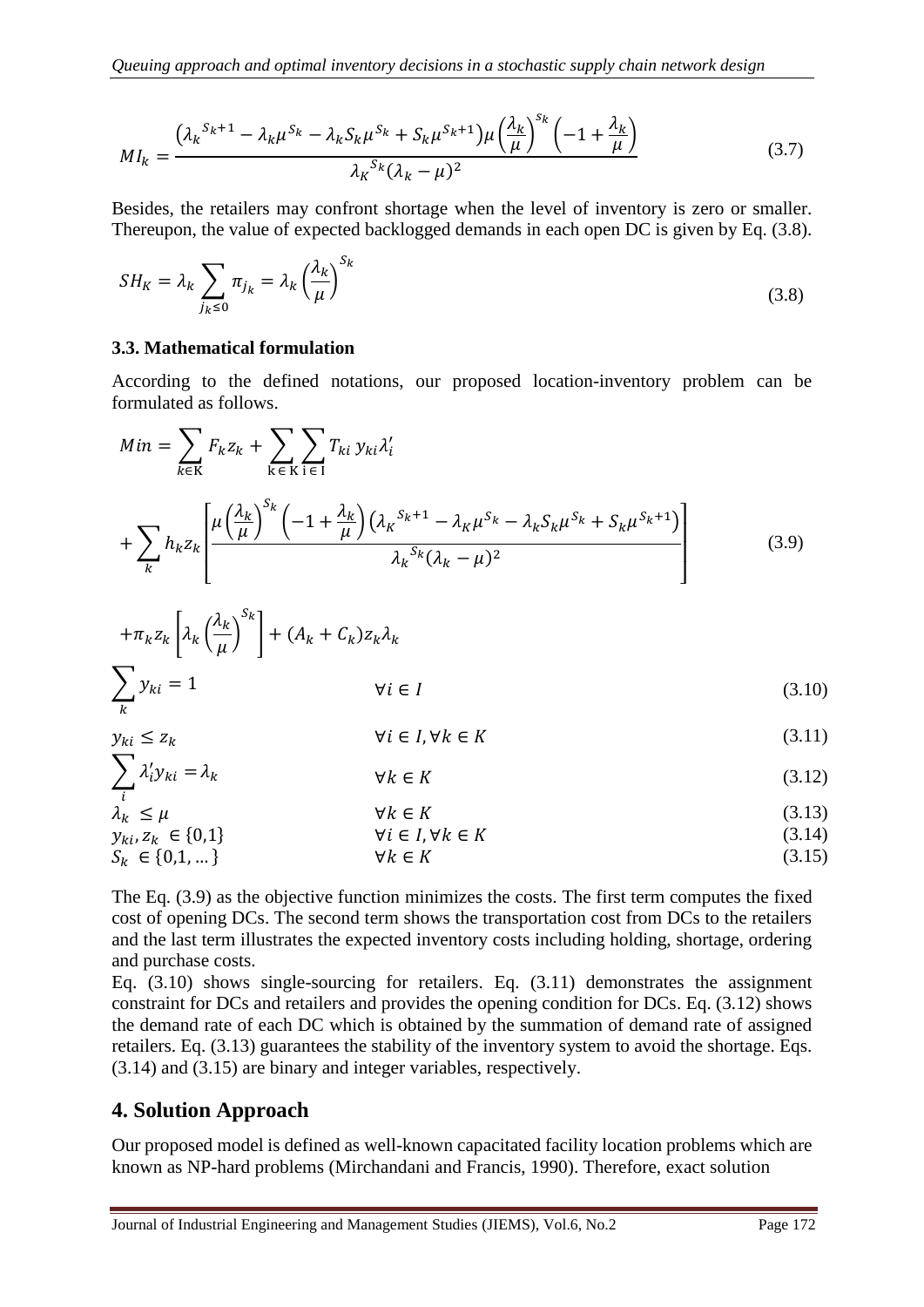$$
MI_k = \frac{(\lambda_k^{S_k+1} - \lambda_k \mu^{S_k} - \lambda_k S_k \mu^{S_k} + S_k \mu^{S_k+1}) \mu \left(\frac{\lambda_k}{\mu}\right)^{S_k} \left(-1 + \frac{\lambda_k}{\mu}\right)}{\lambda_k^{S_k} (\lambda_k - \mu)^2}
$$
(3.7)

Besides, the retailers may confront shortage when the level of inventory is zero or smaller. Thereupon, the value of expected backlogged demands in each open DC is given by Eq. (3.8).

$$
SH_K = \lambda_k \sum_{j_k \le 0} \pi_{j_k} = \lambda_k \left(\frac{\lambda_k}{\mu}\right)^{S_k}
$$
\n(3.8)

#### **3.3. Mathematical formulation**

According to the defined notations, our proposed location-inventory problem can be formulated as follows.

$$
Min = \sum_{k \in K} F_k z_k + \sum_{k \in K} \sum_{i \in I} T_{ki} y_{ki} \lambda'_i
$$
  
+ 
$$
\sum_k h_k z_k \left[ \frac{\mu \left(\frac{\lambda_k}{\mu}\right)^{S_k} \left(-1 + \frac{\lambda_k}{\mu}\right) \left(\lambda_k^{S_k+1} - \lambda_k \mu^{S_k} - \lambda_k S_k \mu^{S_k} + S_k \mu^{S_k+1}\right)}{\lambda_k^{S_k} (\lambda_k - \mu)^2} \right]
$$
(3.9)

$$
+\pi_k z_k \left[\lambda_k \left(\frac{\lambda_k}{\mu}\right)^{S_k}\right] + (A_k + C_k) z_k \lambda_k
$$
  

$$
\sum_k y_{ki} = 1 \qquad \forall i \in I
$$
 (3.10)

$$
y_{ki} \le z_k \qquad \qquad \forall i \in I, \forall k \in K \tag{3.11}
$$

$$
\sum \lambda_i' y_{ki} = \lambda_k \qquad \qquad \forall k \in K \tag{3.12}
$$

$$
\lambda_k^i \le \mu \qquad \forall k \in K
$$
\n
$$
y_{ki}, z_k \in \{0,1\} \qquad \forall k \in K
$$
\n
$$
S_k \in \{0,1,\dots\} \qquad \forall k \in K
$$
\n
$$
(3.13)
$$
\n
$$
\forall k \in K
$$
\n
$$
(3.14)
$$
\n
$$
\forall k \in K
$$
\n
$$
(3.15)
$$

The Eq. (3.9) as the objective function minimizes the costs. The first term computes the fixed cost of opening DCs. The second term shows the transportation cost from DCs to the retailers and the last term illustrates the expected inventory costs including holding, shortage, ordering and purchase costs.

Eq. (3.10) shows single-sourcing for retailers. Eq. (3.11) demonstrates the assignment constraint for DCs and retailers and provides the opening condition for DCs. Eq. (3.12) shows the demand rate of each DC which is obtained by the summation of demand rate of assigned retailers. Eq. (3.13) guarantees the stability of the inventory system to avoid the shortage. Eqs. (3.14) and (3.15) are binary and integer variables, respectively.

### **4. Solution Approach**

Our proposed model is defined as well-known capacitated facility location problems which are known as NP-hard problems [\(Mirchandani and Francis, 1990\)](#page-20-4). Therefore, exact solution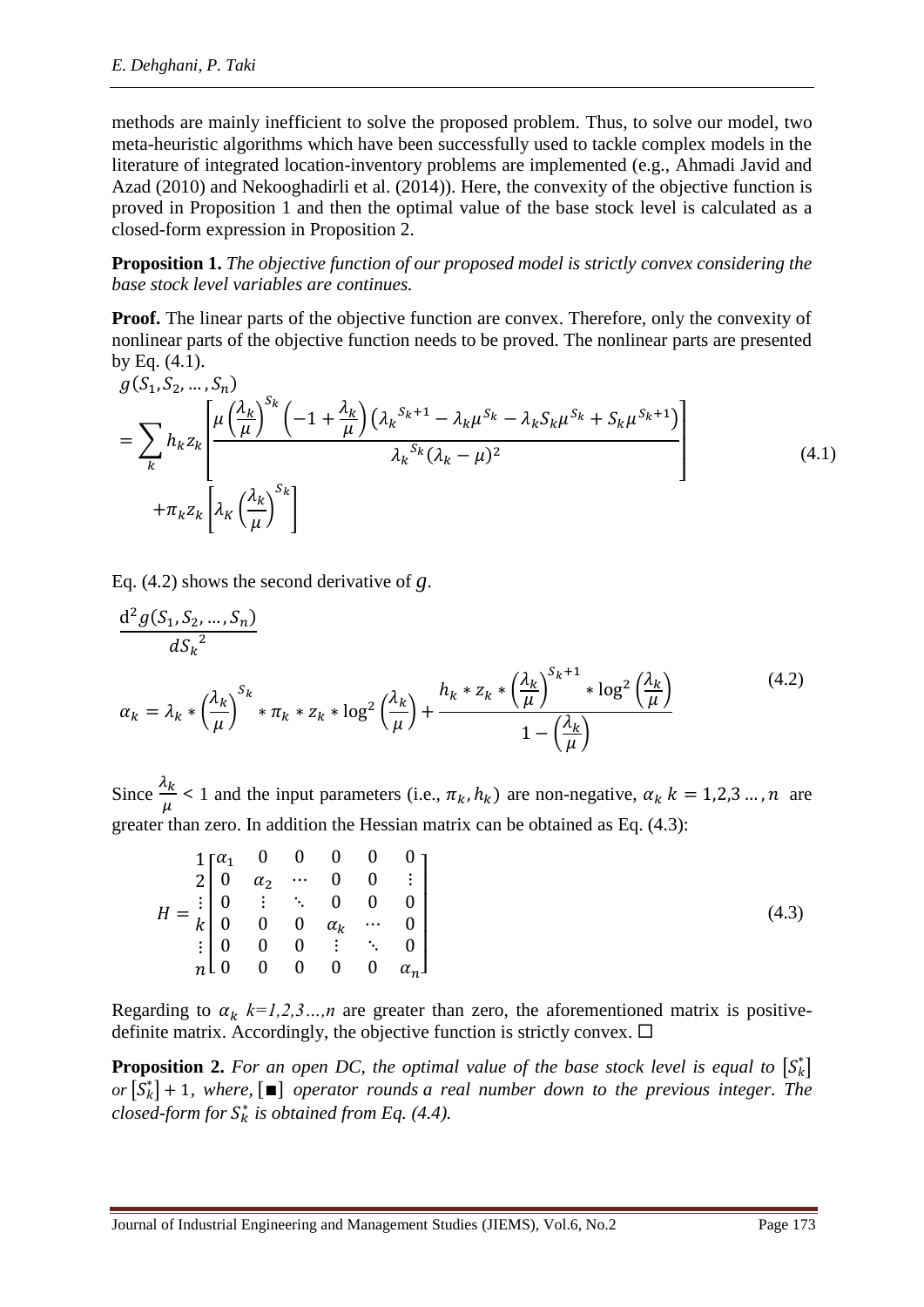methods are mainly inefficient to solve the proposed problem. Thus, to solve our model, two meta-heuristic algorithms which have been successfully used to tackle complex models in the literature of integrated location-inventory problems are implemented (e.g., [Ahmadi Javid and](#page-19-7)  [Azad \(2010\)](#page-19-7) and [Nekooghadirli et al. \(2014\)](#page-21-16)). Here, the convexity of the objective function is proved in Proposition 1 and then the optimal value of the base stock level is calculated as a closed-form expression in Proposition 2.

**Proposition 1.** *The objective function of our proposed model is strictly convex considering the base stock level variables are continues.*

**Proof.** The linear parts of the objective function are convex. Therefore, only the convexity of nonlinear parts of the objective function needs to be proved. The nonlinear parts are presented by Eq. (4.1).

$$
g(S_1, S_2, ..., S_n)
$$
  
= 
$$
\sum_{k} h_k z_k \left[ \frac{\mu \left(\frac{\lambda_k}{\mu}\right)^{S_k} \left(-1 + \frac{\lambda_k}{\mu}\right) \left(\lambda_k^{S_k+1} - \lambda_k \mu^{S_k} - \lambda_k S_k \mu^{S_k} + S_k \mu^{S_k+1}\right)}{\lambda_k^{S_k} (\lambda_k - \mu)^2} \right]
$$
(4.1)  
+  $\pi_k z_k \left[ \lambda_K \left(\frac{\lambda_k}{\mu}\right)^{S_k} \right]$ 

Eq. (4.2) shows the second derivative of *g*.

$$
\frac{d^2 g(S_1, S_2, ..., S_n)}{dS_k^2} \alpha_k = \lambda_k * \left(\frac{\lambda_k}{\mu}\right)^{S_k} * \pi_k * z_k * \log^2\left(\frac{\lambda_k}{\mu}\right) + \frac{h_k * z_k * \left(\frac{\lambda_k}{\mu}\right)^{S_k+1} * \log^2\left(\frac{\lambda_k}{\mu}\right)}{1 - \left(\frac{\lambda_k}{\mu}\right)}
$$
(4.2)

Since  $\frac{\lambda_k}{\lambda_k}$  $\frac{\alpha}{\mu}$  < 1 and the input parameters (i.e.,  $\pi_k$ ,  $h_k$ ) are non-negative,  $\alpha_k$   $k = 1,2,3...$ , *n* are greater than zero. In addition the Hessian matrix can be obtained as Eq. (4.3):

|  |               |  |  | $1\begin{bmatrix} \alpha_1 & 0 & 0 & 0 & 0 & 0 \end{bmatrix}$                                                        |
|--|---------------|--|--|----------------------------------------------------------------------------------------------------------------------|
|  |               |  |  | $2 \begin{bmatrix} 0 & \alpha_2 & \cdots & 0 & 0 & \vdots \end{bmatrix}$                                             |
|  |               |  |  |                                                                                                                      |
|  |               |  |  | $H = \frac{1}{k} \begin{bmatrix} 0 & \vdots & \ddots & 0 & 0 & 0 \\ 0 & 0 & 0 & \alpha_k & \cdots & 0 \end{bmatrix}$ |
|  |               |  |  | $\begin{bmatrix} 0 & 0 & 0 \end{bmatrix}$ : $\begin{bmatrix} 0 & 0 & 0 \end{bmatrix}$                                |
|  | $n \, l \, 0$ |  |  | 0 0 0 0 $\alpha_n$                                                                                                   |

Regarding to  $\alpha_k$   $k=1,2,3...$ , *n* are greater than zero, the aforementioned matrix is positivedefinite matrix. Accordingly, the objective function is strictly convex.  $\Box$ 

**Proposition 2.** For an open DC, the optimal value of the base stock level is equal to  $\begin{bmatrix} S_k^* \end{bmatrix}$  $\sigma$  $\left[\overline{S}_k^*\right]$  + 1*, where,*  $\left[\blacksquare\right]$  *operator [rounds](https://en.wikipedia.org/wiki/Rounding) a real number down to the previous integer. The closed-form for*  $S_k^*$  *is obtained from Eq. (4.4).*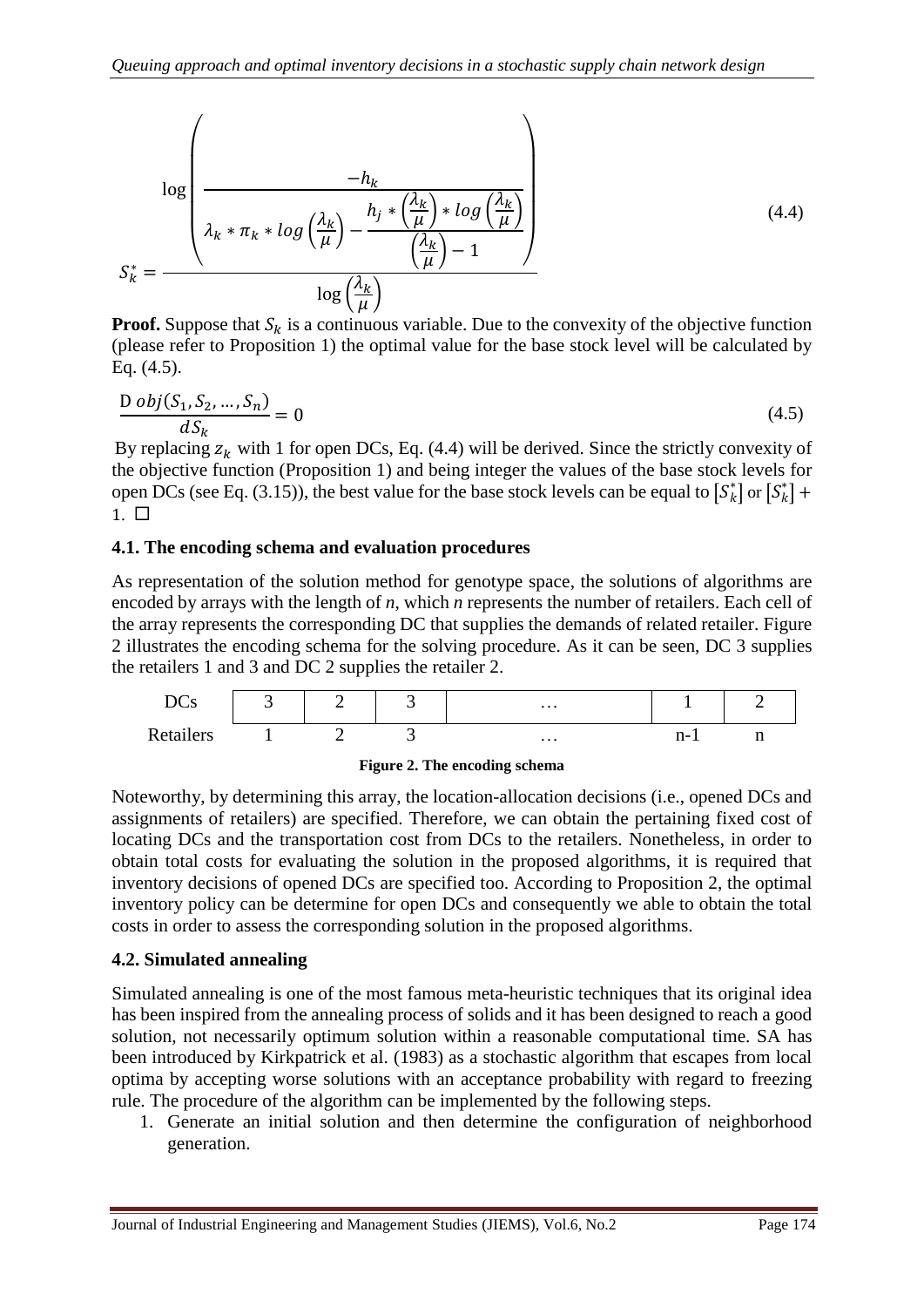$$
\log \left( \frac{-h_k}{\lambda_k * \pi_k * \log \left( \frac{\lambda_k}{\mu} \right) - \frac{h_j * \left( \frac{\lambda_k}{\mu} \right) * \log \left( \frac{\lambda_k}{\mu} \right)}{\left( \frac{\lambda_k}{\mu} \right) - 1} \right)}
$$
(4.4)  

$$
S_k^* = \frac{\log \left( \frac{\lambda_k}{\mu} \right)}{\log \left( \frac{\lambda_k}{\mu} \right)}
$$

**Proof.** Suppose that  $S_k$  is a continuous variable. Due to the convexity of the objective function (please refer to Proposition 1) the optimal value for the base stock level will be calculated by Eq. (4.5).

$$
\frac{\text{D }obj(S_1, S_2, \dots, S_n)}{dS_k} = 0 \tag{4.5}
$$

By replacing  $z_k$  with 1 for open DCs, Eq. (4.4) will be derived. Since the strictly convexity of the objective function (Proposition 1) and being integer the values of the base stock levels for open DCs (see Eq. (3.15)), the best value for the base stock levels can be equal to  $[S_k^*]$  or  $[S_k^*]$  +  $1. \Box$ 

### **4.1. The encoding schema and evaluation procedures**

As representation of the solution method for genotype space, the solutions of algorithms are encoded by arrays with the length of *n*, which *n* represents the number of retailers. Each cell of the array represents the corresponding DC that supplies the demands of related retailer. Figure 2 illustrates the encoding schema for the solving procedure. As it can be seen, DC 3 supplies the retailers 1 and 3 and DC 2 supplies the retailer 2.





Noteworthy, by determining this array, the location-allocation decisions (i.e., opened DCs and assignments of retailers) are specified. Therefore, we can obtain the pertaining fixed cost of locating DCs and the transportation cost from DCs to the retailers. Nonetheless, in order to obtain total costs for evaluating the solution in the proposed algorithms, it is required that inventory decisions of opened DCs are specified too. According to Proposition 2, the optimal inventory policy can be determine for open DCs and consequently we able to obtain the total costs in order to assess the corresponding solution in the proposed algorithms.

### **4.2. Simulated annealing**

Simulated annealing is one of the most famous meta-heuristic techniques that its original idea has been inspired from the annealing process of solids and it has been designed to reach a good solution, not necessarily optimum solution within a reasonable computational time. SA has been introduced by [Kirkpatrick et al. \(1983\)](#page-20-14) as a stochastic algorithm that escapes from local optima by accepting worse solutions with an acceptance probability with regard to freezing rule. The procedure of the algorithm can be implemented by the following steps.

1. Generate an initial solution and then determine the configuration of neighborhood generation.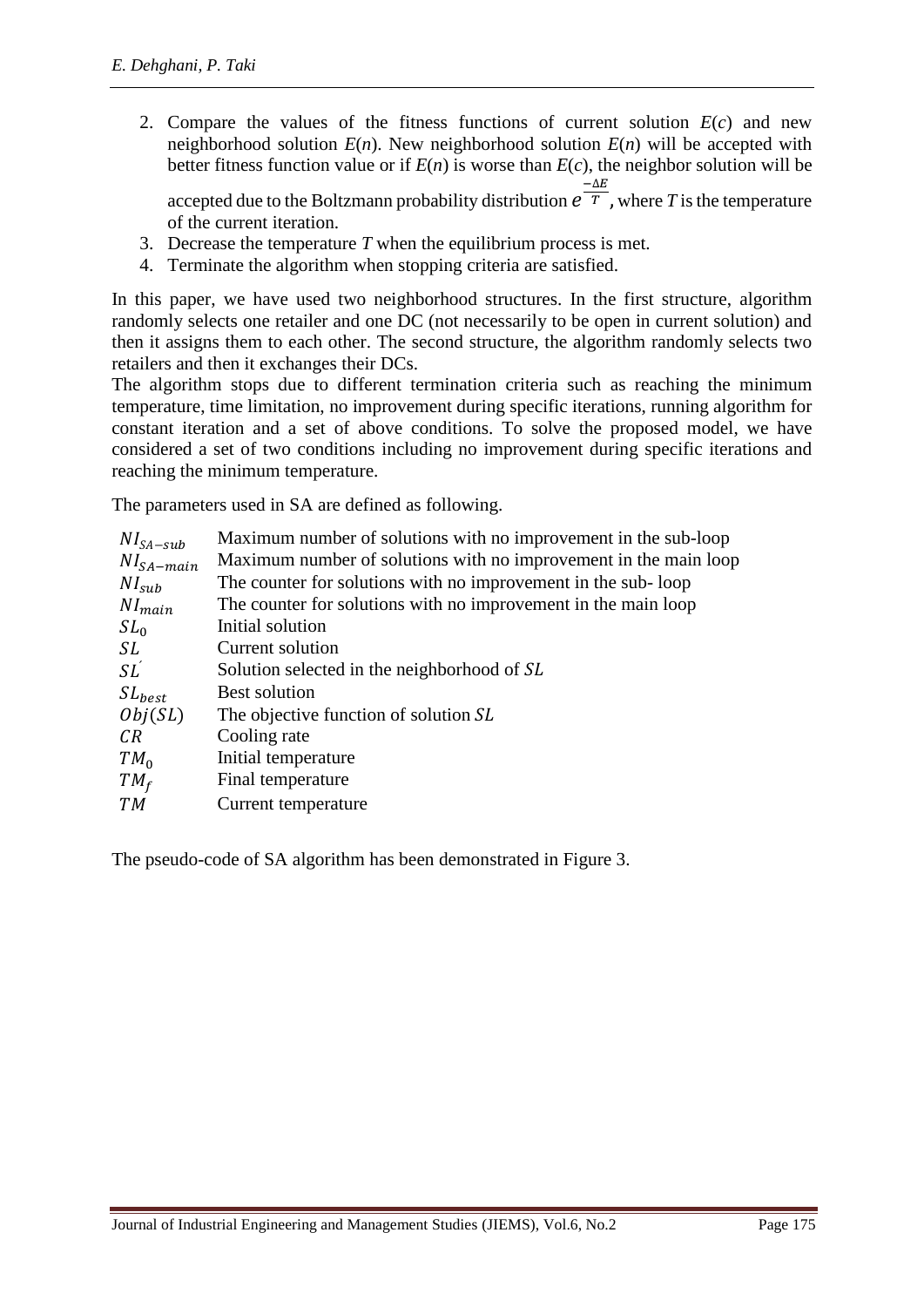2. Compare the values of the fitness functions of current solution  $E(c)$  and new neighborhood solution  $E(n)$ . New neighborhood solution  $E(n)$  will be accepted with better fitness function value or if  $E(n)$  is worse than  $E(c)$ , the neighbor solution will be

accepted due to the Boltzmann probability distribution  $e^{-\Delta E}$ , where *T* is the temperature of the current iteration.

- 3. Decrease the temperature *T* when the equilibrium process is met.
- 4. Terminate the algorithm when stopping criteria are satisfied.

In this paper, we have used two neighborhood structures. In the first structure, algorithm randomly selects one retailer and one DC (not necessarily to be open in current solution) and then it assigns them to each other. The second structure, the algorithm randomly selects two retailers and then it exchanges their DCs.

The algorithm stops due to different termination criteria such as reaching the minimum temperature, time limitation, no improvement during specific iterations, running algorithm for constant iteration and a set of above conditions. To solve the proposed model, we have considered a set of two conditions including no improvement during specific iterations and reaching the minimum temperature.

The parameters used in SA are defined as following.

| $NI_{SA-sub}$   | Maximum number of solutions with no improvement in the sub-loop  |
|-----------------|------------------------------------------------------------------|
| $NI_{SA-main}$  | Maximum number of solutions with no improvement in the main loop |
| $NI_{sub}$      | The counter for solutions with no improvement in the sub-loop    |
| $NI_{main}$     | The counter for solutions with no improvement in the main loop   |
| $SL_0$          | Initial solution                                                 |
| SL              | Current solution                                                 |
| SL <sup>2</sup> | Solution selected in the neighborhood of SL                      |
| $SL_{best}$     | <b>Best solution</b>                                             |
| Obj(SL)         | The objective function of solution SL                            |
| CR              | Cooling rate                                                     |
| $TM_0$          | Initial temperature                                              |
| $TM_f$          | Final temperature                                                |
| T <sub>M</sub>  | Current temperature                                              |

The pseudo-code of SA algorithm has been demonstrated in Figure 3.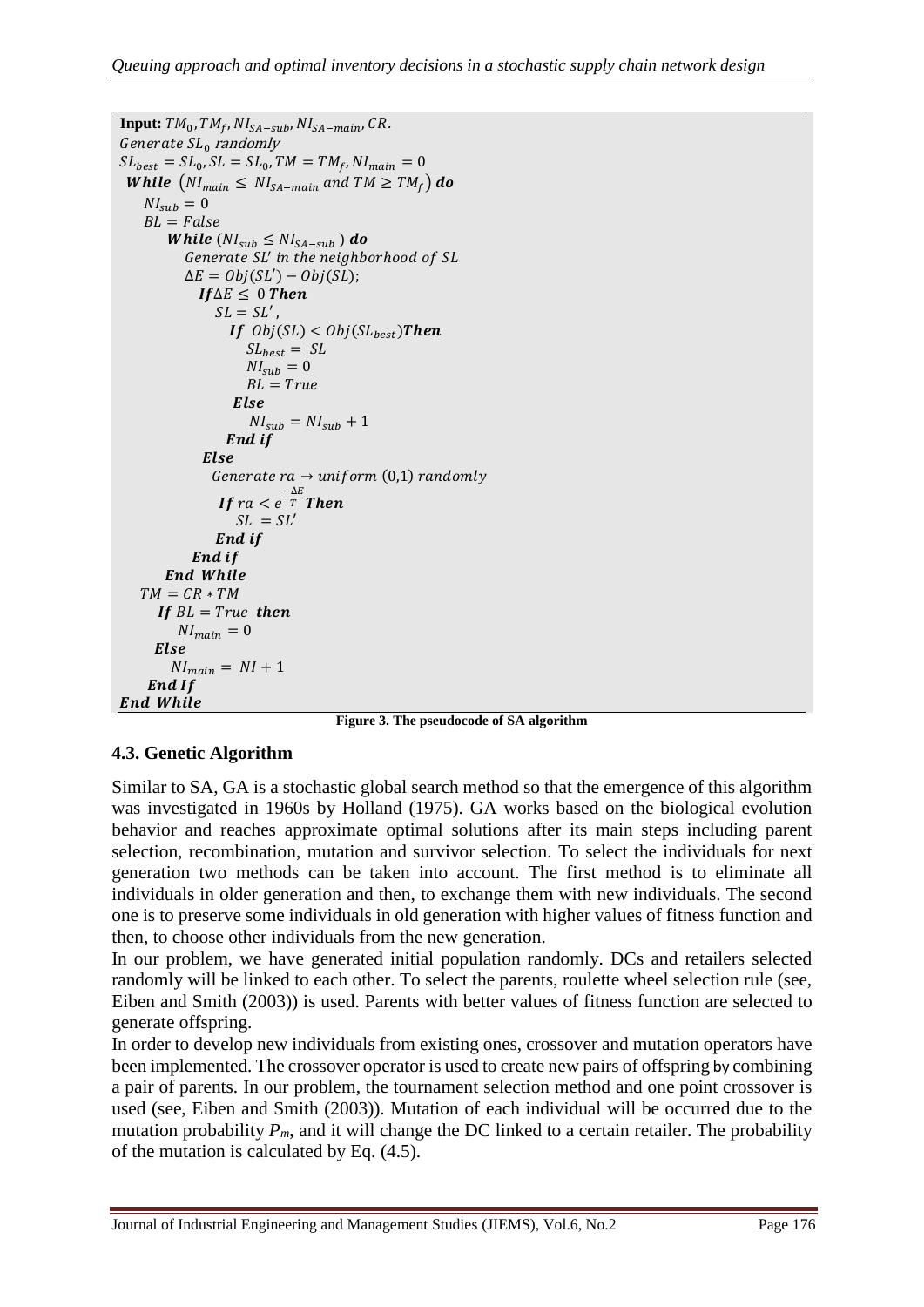```
\mathbf{Input:} \; TM_0, TM_f, NI_{SA-sub}, NI_{SA-main}, CR .
Generate SL_0 randomly
SL_{best} = SL_0, SL = SL_0, TM = TM_f, NI_{main} = 0While (NI_{main} \leq NI_{SA-mail} and TM \geq TM_f) do
   NI_{sub} = 0BL = FalseWhile (NI_{sub} \leq N I_{SA-sub}) do
          Generate SL' in the neighborhood of SL
          \Delta E = Obj(SL') - Obj(SL);If∆E ≤ 0 Then
               SL = SL'If Obj(SL) < Obj(SL_{best})Then
                    SL_{best} = SLNI_{sub} = 0BL = TrueElse
                    NI_{sub} = NI_{sub} + 1End if
             Else
              Generate ra \rightarrow uniform(0,1) randomly
                If ra < e^{\frac{-\Delta E}{T}}Then
                  SL = SL'End if
           End if
      End While
   TM = CR * TMIf BL = True then
         NI_{main} = 0Else
        NI_{main} = NI + 1End If
End While
```
**Figure 3. The pseudocode of SA algorithm**

### **4.3. Genetic Algorithm**

Similar to SA, GA is a stochastic global search method so that the emergence of this algorithm was investigated in 1960s by [Holland \(1975\)](#page-20-15). GA works based on the biological evolution behavior and reaches approximate optimal solutions after its main steps including parent selection, recombination, mutation and survivor selection. To select the individuals for next generation two methods can be taken into account. The first method is to eliminate all individuals in older generation and then, to exchange them with new individuals. The second one is to preserve some individuals in old generation with higher values of fitness function and then, to choose other individuals from the new generation.

In our problem, we have generated initial population randomly. DCs and retailers selected randomly will be linked to each other. To select the parents, roulette wheel selection rule (see, [Eiben and Smith \(2003\)](#page-20-16)) is used. Parents with better values of fitness function are selected to generate offspring.

In order to develop new individuals from existing ones, crossover and mutation operators have been implemented. The crossover operator is used to create new pairs of offspring by combining a pair of parents. In our problem, the tournament selection method and one point crossover is used (see, [Eiben and Smith \(2003\)](#page-20-16)). Mutation of each individual will be occurred due to the mutation probability  $P_m$ , and it will change the DC linked to a certain retailer. The probability of the mutation is calculated by Eq. (4.5).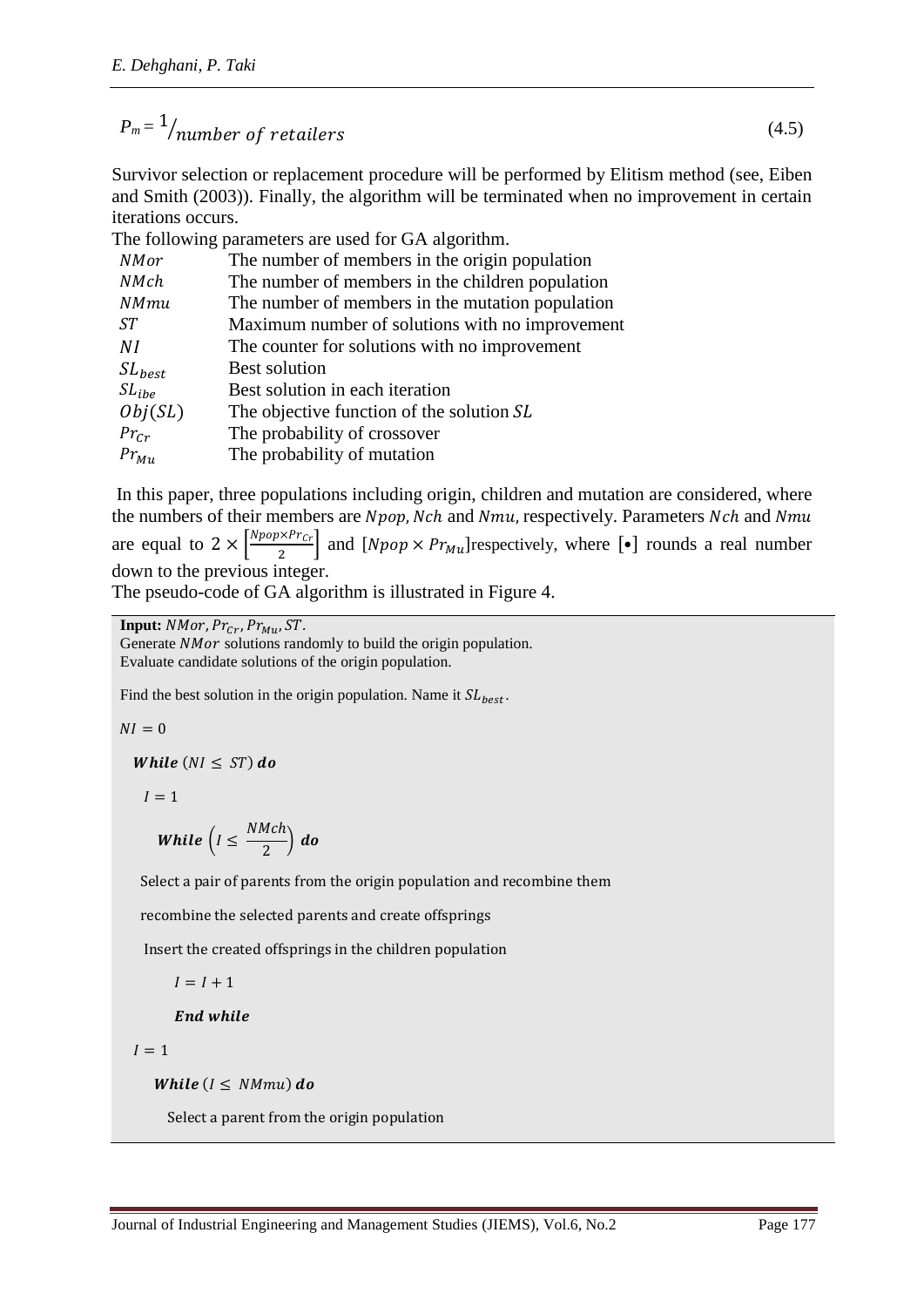$$
P_m = \frac{1}{\text{number of rectangles}} \tag{4.5}
$$

Survivor selection or replacement procedure will be performed by Elitism method (see, [Eiben](#page-20-16)  [and Smith \(2003\)](#page-20-16)). Finally, the algorithm will be terminated when no improvement in certain iterations occurs.

The following parameters are used for GA algorithm.

| NMor        | The number of members in the origin population   |
|-------------|--------------------------------------------------|
| NMch        | The number of members in the children population |
| NMmu        | The number of members in the mutation population |
| ST.         | Maximum number of solutions with no improvement  |
| ΝI          | The counter for solutions with no improvement    |
| $SL_{best}$ | <b>Best solution</b>                             |
| $SL_{ibe}$  | Best solution in each iteration                  |
| Obj(SL)     | The objective function of the solution SL        |
| $Pr_{Cr}$   | The probability of crossover                     |
| $Pr_{Mu}$   | The probability of mutation                      |

In this paper, three populations including origin, children and mutation are considered, where the numbers of their members are Npop, Nch and Nmu, respectively. Parameters Nch and Nmu are equal to  $2 \times \frac{Npop \times Pr_{Cr}}{2}$  $\left[\frac{1}{2}\right]$  and  $\left[Npop \times Pr_{Mu}\right]$  respectively, where  $\left[\bullet\right]$  rounds a real number down to the previous integer.

The pseudo-code of GA algorithm is illustrated in Figure 4.

**Input:**  $NMor$ ,  $Pr_{Cr}$ ,  $Pr_{Mu}$ ,  $ST$ .

Generate  $NMor$  solutions randomly to build the origin population. Evaluate candidate solutions of the origin population.

Find the best solution in the origin population. Name it  $SL_{best}$ .

 $NI = 0$ 

While  $(NI \leq ST)$  do

 $I = 1$ 

While 
$$
\left(I \leq \frac{NMch}{2}\right) \, do
$$

Select a pair of parents from the origin population and recombine them

recombine the selected parents and create offsprings

Insert the created offsprings in the children population

$$
I = I + 1
$$

End while

 $I = 1$ 

While  $(I \leq N Mmu)$  do

Select a parent from the origin population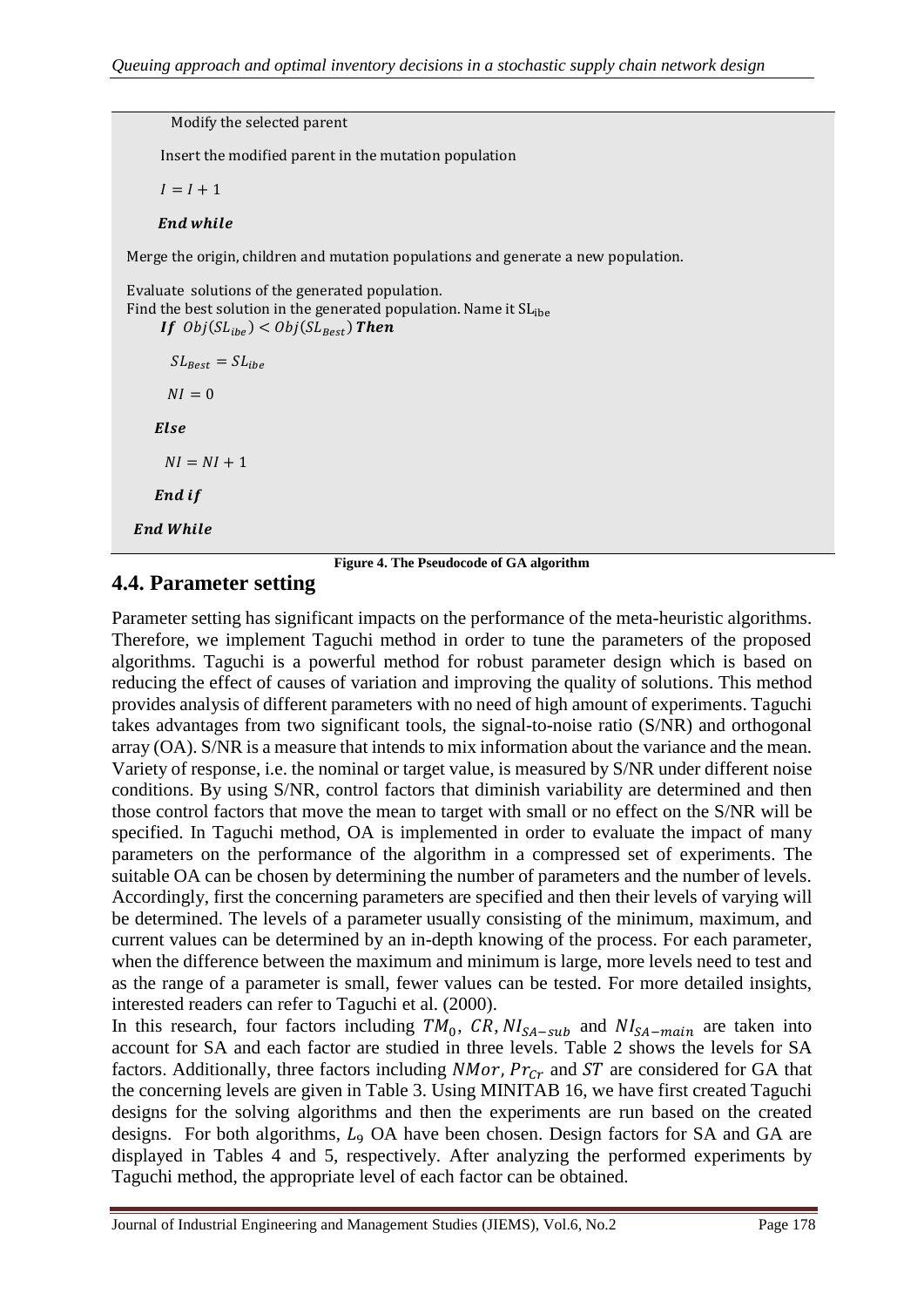Modify the selected parent Insert the modified parent in the mutation population  $I = I + 1$ **End while** Merge the origin, children and mutation populations and generate a new population. Evaluate solutions of the generated population. Find the best solution in the generated population. Name it  $SL<sub>ibe</sub>$ If  $Obj(SL_{ibe}) < Obj(SL_{Best})$  Then  $SL_{\text{Rest}} = SL_{\text{the}}$  $NI = 0$ Else  $NI = NI + 1$ End if **End While** 

**Figure 4. The Pseudocode of GA algorithm**

### **4.4. Parameter setting**

Parameter setting has significant impacts on the performance of the meta-heuristic algorithms. Therefore, we implement Taguchi method in order to tune the parameters of the proposed algorithms. Taguchi is a powerful method for robust parameter design which is based on reducing the effect of causes of variation and improving the quality of solutions. This method provides analysis of different parameters with no need of high amount of experiments. Taguchi takes advantages from two significant tools, the signal-to-noise ratio (S/NR) and orthogonal array (OA). S/NR is a measure that intends to mix information about the variance and the mean. Variety of response, i.e. the nominal or target value, is measured by S/NR under different noise conditions. By using S/NR, control factors that diminish variability are determined and then those control factors that move the mean to target with small or no effect on the S/NR will be specified. In Taguchi method, OA is implemented in order to evaluate the impact of many parameters on the performance of the algorithm in a compressed set of experiments. The suitable OA can be chosen by determining the number of parameters and the number of levels. Accordingly, first the concerning parameters are specified and then their levels of varying will be determined. The levels of a parameter usually consisting of the minimum, maximum, and current values can be determined by an in-depth knowing of the process. For each parameter, when the difference between the maximum and minimum is large, more levels need to test and as the range of a parameter is small, fewer values can be tested. For more detailed insights, interested readers can refer to [Taguchi et al. \(2000\)](#page-21-15).

In this research, four factors including  $TM_0$ , CR,  $NI_{SA-sub}$  and  $NI_{SA-main}$  are taken into account for SA and each factor are studied in three levels. Table 2 shows the levels for SA factors. Additionally, three factors including  $NMor$ ,  $Pr_{Cr}$  and ST are considered for GA that the concerning levels are given in Table 3. Using MINITAB 16, we have first created Taguchi designs for the solving algorithms and then the experiments are run based on the created designs. For both algorithms,  $L<sub>9</sub>$  OA have been chosen. Design factors for SA and GA are displayed in Tables 4 and 5, respectively. After analyzing the performed experiments by Taguchi method, the appropriate level of each factor can be obtained.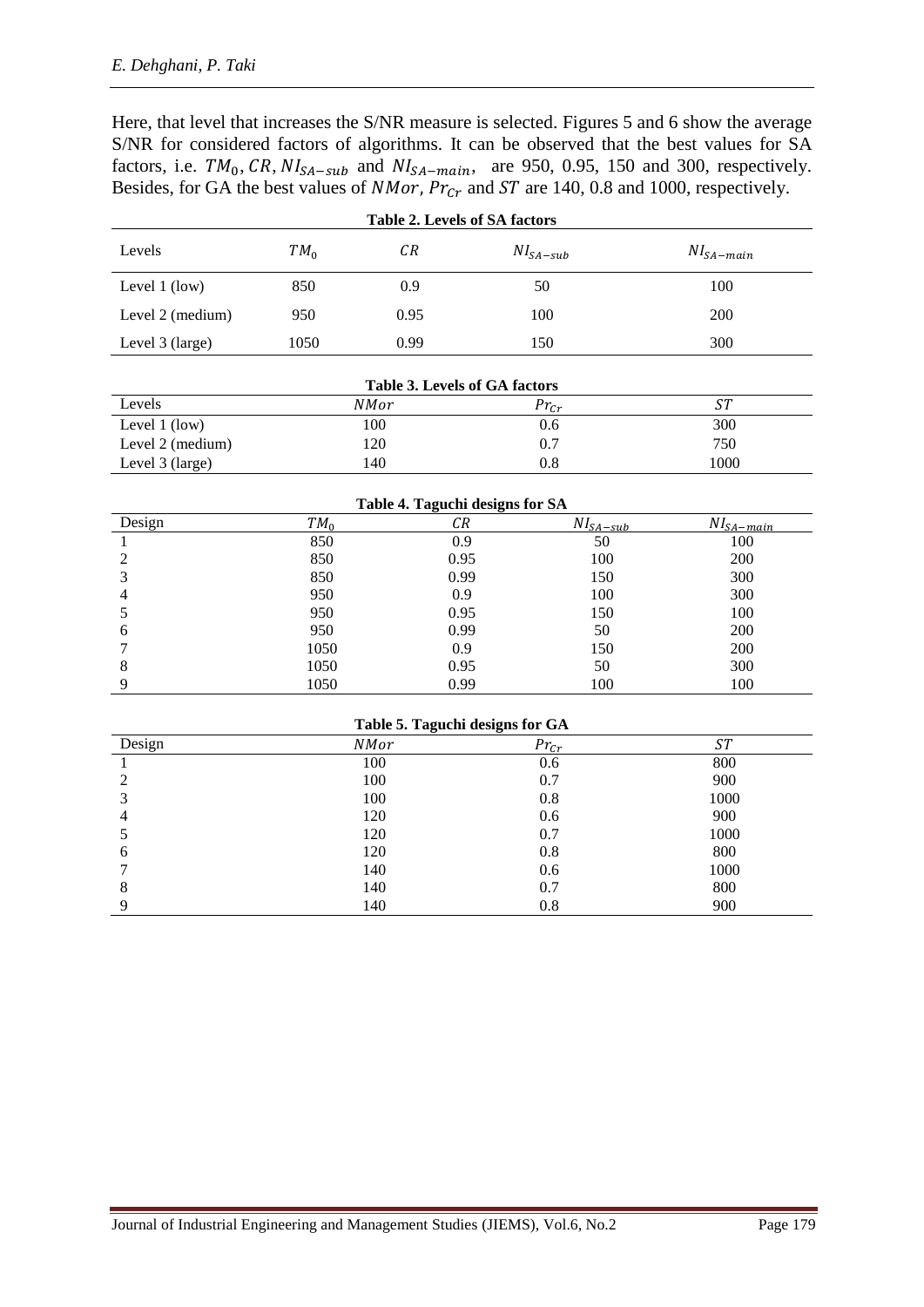Here, that level that increases the S/NR measure is selected. Figures 5 and 6 show the average S/NR for considered factors of algorithms. It can be observed that the best values for SA factors, i.e.  $TM_0$ , CR,  $NI_{SA-sub}$  and  $NI_{SA-main}$ , are 950, 0.95, 150 and 300, respectively. Besides, for GA the best values of *NMor*,  $Pr_{Cr}$  and  $ST$  are 140, 0.8 and 1000, respectively.

| Table 2. Levels of SA factors |        |      |               |                |  |  |  |  |
|-------------------------------|--------|------|---------------|----------------|--|--|--|--|
| Levels                        | $TM_0$ | СR   | $NI_{SA-sub}$ | $NI_{SA-main}$ |  |  |  |  |
| Level $1$ (low)               | 850    | 0.9  | 50            | 100            |  |  |  |  |
| Level 2 (medium)              | 950    | 0.95 | 100           | 200            |  |  |  |  |
| Level 3 (large)               | 1050   | 0.99 | 150           | 300            |  |  |  |  |

| <b>Table 3. Levels of GA factors</b> |             |           |           |  |  |  |  |  |
|--------------------------------------|-------------|-----------|-----------|--|--|--|--|--|
| Levels                               | <b>NMor</b> | $Pr_{cr}$ | <i>ST</i> |  |  |  |  |  |
| Level $1$ (low)                      | 100         | 0.6       | 300       |  |  |  |  |  |
| Level 2 (medium)                     | 120         | 0.7       | 750       |  |  |  |  |  |
| Level 3 (large)                      | 140         | 0.8       | 1000      |  |  |  |  |  |

| Table 4. Taguchi designs for SA |        |      |                           |                            |  |  |  |  |  |
|---------------------------------|--------|------|---------------------------|----------------------------|--|--|--|--|--|
| Design                          | $TM_0$ | CR   | $NI_{\underline{SA-sub}}$ | $NI_{\underline{SA-main}}$ |  |  |  |  |  |
|                                 | 850    | 0.9  | 50                        | 100                        |  |  |  |  |  |
|                                 | 850    | 0.95 | 100                       | 200                        |  |  |  |  |  |
|                                 | 850    | 0.99 | 150                       | 300                        |  |  |  |  |  |
|                                 | 950    | 0.9  | 100                       | 300                        |  |  |  |  |  |
|                                 | 950    | 0.95 | 150                       | 100                        |  |  |  |  |  |
| 6                               | 950    | 0.99 | 50                        | 200                        |  |  |  |  |  |
|                                 | 1050   | 0.9  | 150                       | 200                        |  |  |  |  |  |
| 8                               | 1050   | 0.95 | 50                        | 300                        |  |  |  |  |  |
|                                 | 1050   | 0.99 | 100                       | 100                        |  |  |  |  |  |

| Table 5. Taguchi designs for GA |  |  |  |
|---------------------------------|--|--|--|
|---------------------------------|--|--|--|

| Design | ິ<br><b>NMor</b> | ັ<br>$Pr_{Cr}$ | ST   |
|--------|------------------|----------------|------|
|        | 100              | 0.6            | 800  |
|        | 100              | 0.7            | 900  |
|        | 100              | 0.8            | 1000 |
|        | 120              | 0.6            | 900  |
|        | 120              | 0.7            | 1000 |
| O      | 120              | 0.8            | 800  |
|        | 140              | 0.6            | 1000 |
| 8      | 140              | 0.7            | 800  |
|        | 140              | 0.8            | 900  |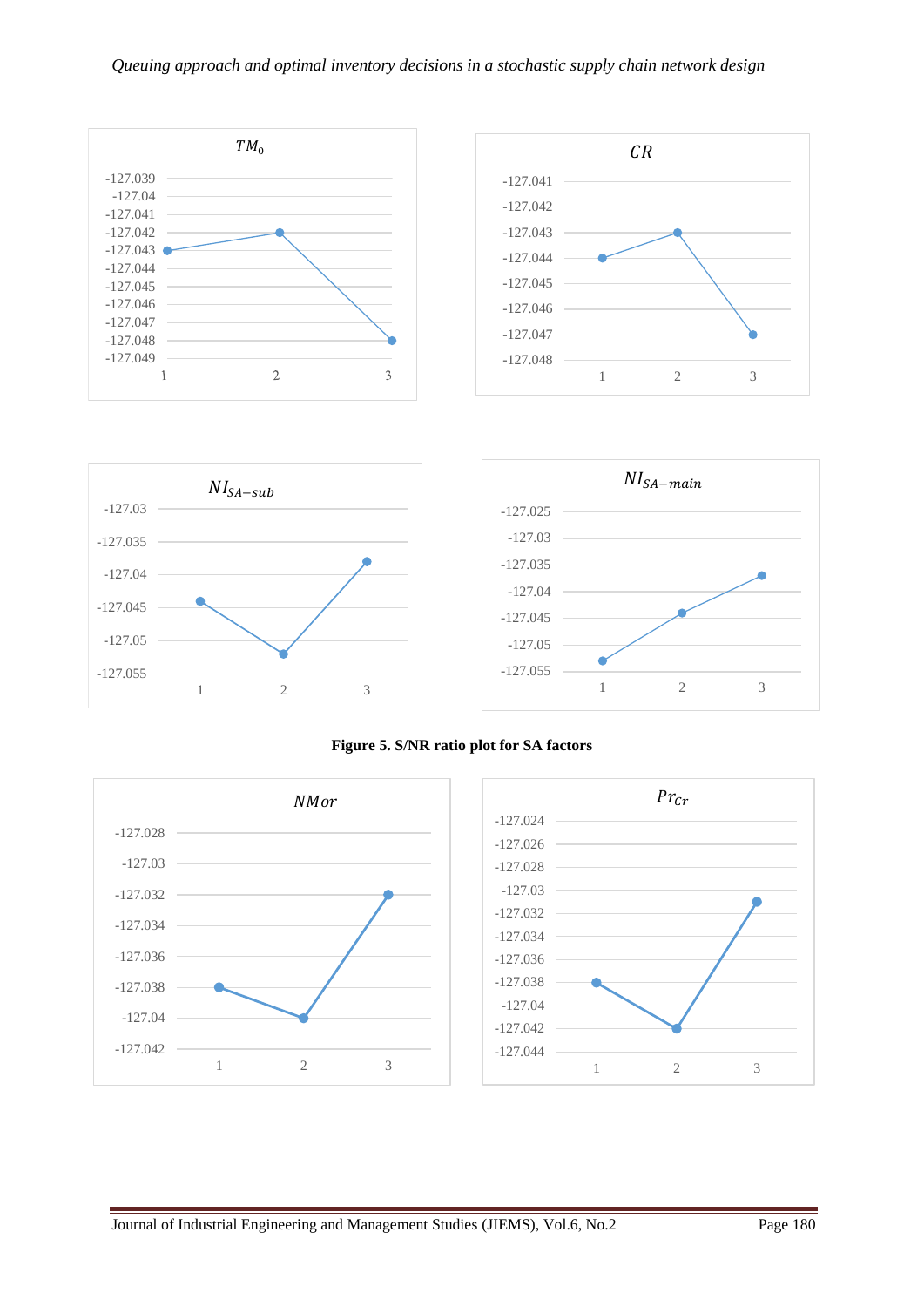



**Figure 5. S/NR ratio plot for SA factors**

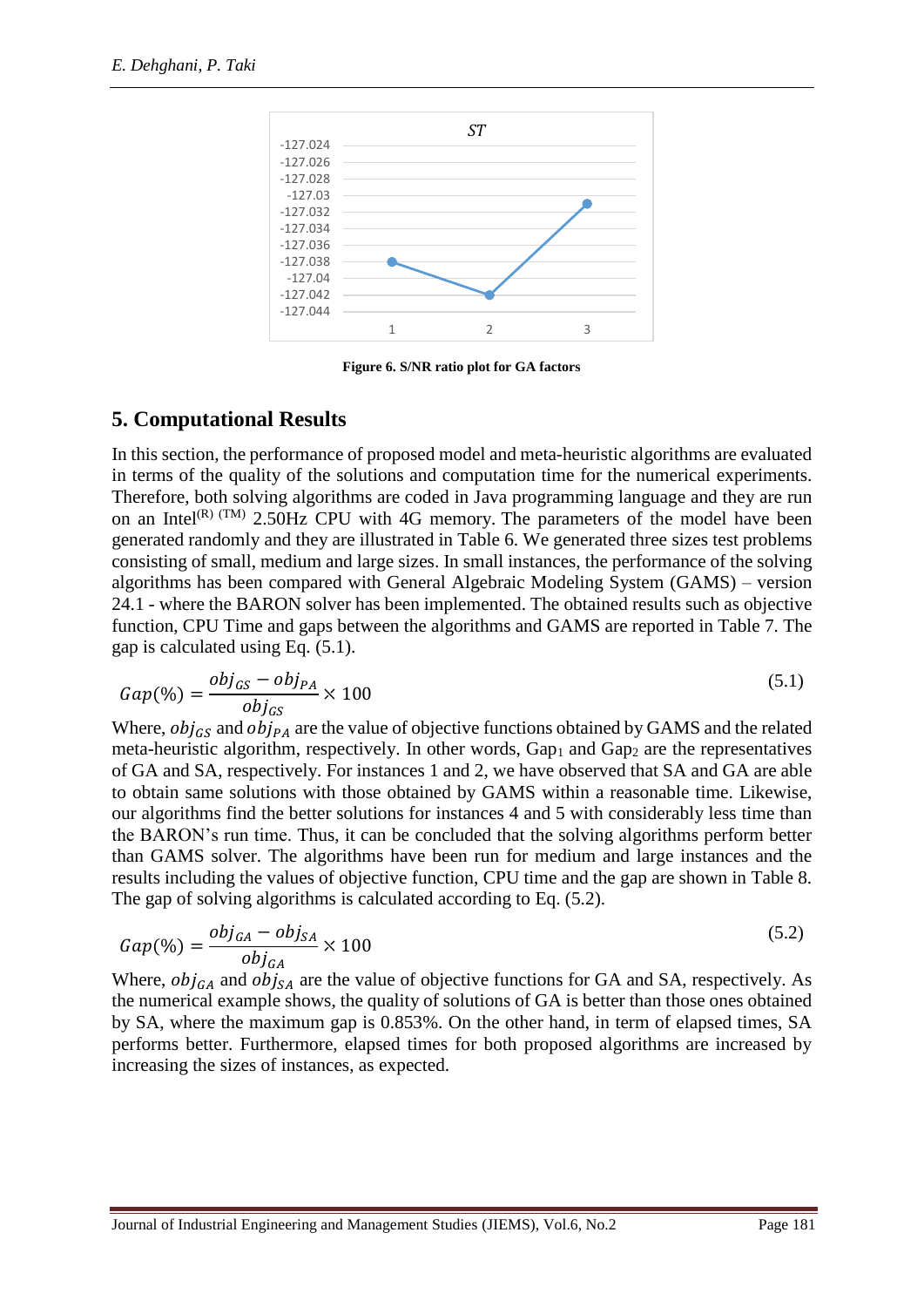

**Figure 6. S/NR ratio plot for GA factors**

## **5. Computational Results**

In this section, the performance of proposed model and meta-heuristic algorithms are evaluated in terms of the quality of the solutions and computation time for the numerical experiments. Therefore, both solving algorithms are coded in Java programming language and they are run on an Intel<sup>(R) (TM)</sup> 2.50Hz CPU with 4G memory. The parameters of the model have been generated randomly and they are illustrated in Table 6. We generated three sizes test problems consisting of small, medium and large sizes. In small instances, the performance of the solving algorithms has been compared with General Algebraic Modeling System (GAMS) – version 24.1 - where the BARON solver has been implemented. The obtained results such as objective function, CPU Time and gaps between the algorithms and GAMS are reported in Table 7. The gap is calculated using Eq. (5.1).

$$
Gap(\%) = \frac{obj_{GS} - obj_{PA}}{obj_{GS}} \times 100
$$
\n
$$
\tag{5.1}
$$

Where,  $obj_{GS}$  and  $obj_{PA}$  are the value of objective functions obtained by GAMS and the related meta-heuristic algorithm, respectively. In other words,  $Gap<sub>1</sub>$  and  $Gap<sub>2</sub>$  are the representatives of GA and SA, respectively. For instances 1 and 2, we have observed that SA and GA are able to obtain same solutions with those obtained by GAMS within a reasonable time. Likewise, our algorithms find the better solutions for instances 4 and 5 with considerably less time than the BARON's run time. Thus, it can be concluded that the solving algorithms perform better than GAMS solver. The algorithms have been run for medium and large instances and the results including the values of objective function, CPU time and the gap are shown in Table 8. The gap of solving algorithms is calculated according to Eq. (5.2).

$$
Gap(\%) = \frac{obj_{GA} - obj_{SA}}{obj_{GA}} \times 100
$$
\n
$$
\tag{5.2}
$$

Where,  $obj_{GA}$  and  $obj_{SA}$  are the value of objective functions for GA and SA, respectively. As the numerical example shows, the quality of solutions of GA is better than those ones obtained by SA, where the maximum gap is 0.853%. On the other hand, in term of elapsed times, SA performs better. Furthermore, elapsed times for both proposed algorithms are increased by increasing the sizes of instances, as expected.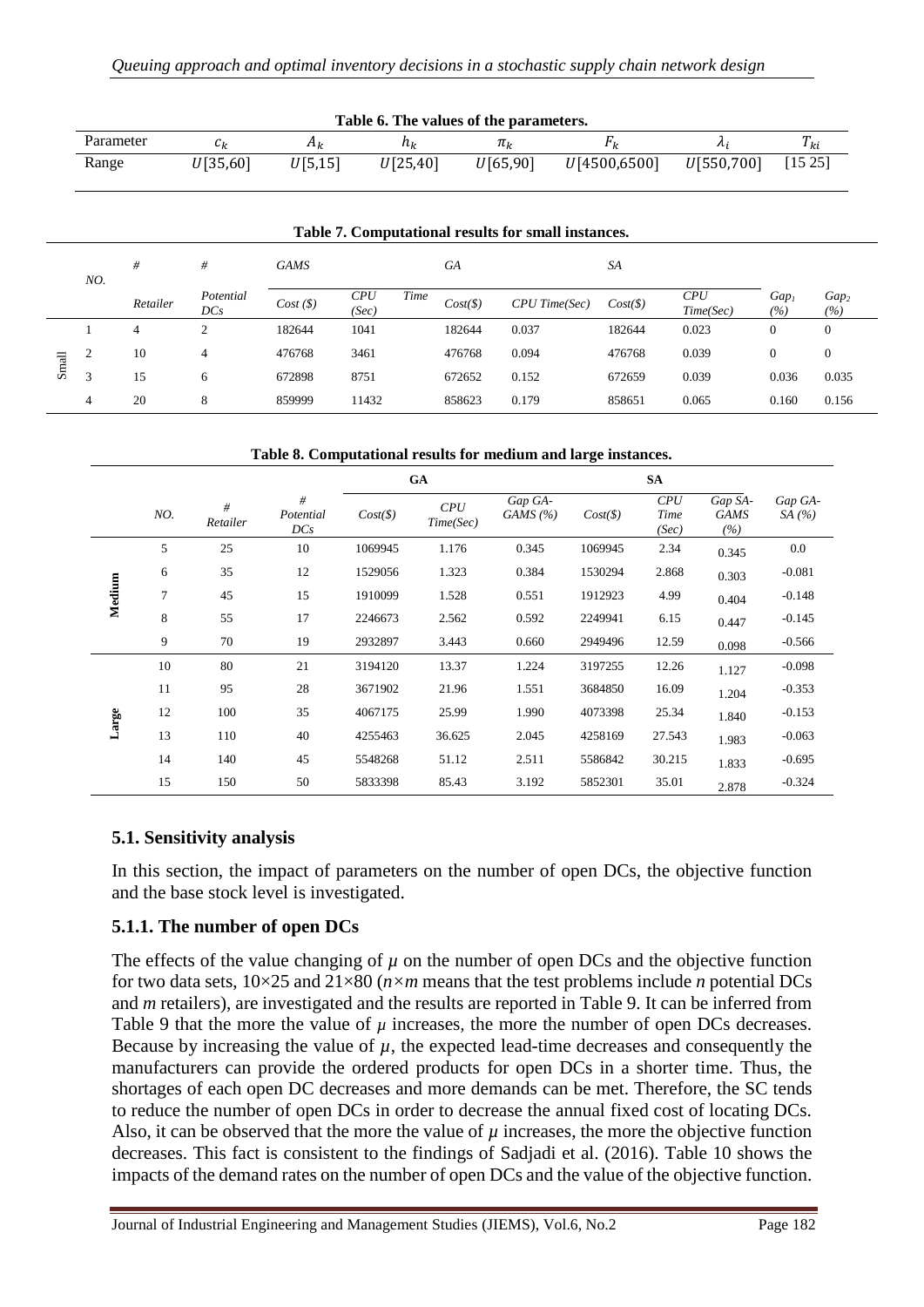| Table 6. The values of the parameters. |          |          |          |           |              |            |            |  |  |  |
|----------------------------------------|----------|----------|----------|-----------|--------------|------------|------------|--|--|--|
| Parameter                              |          | $H_k$    | пı       | $\pi_{k}$ |              |            | $1$ ki     |  |  |  |
| Range                                  | U[35,60] | U[5, 15] | U[25,40] | U[65,90]  | U[4500,6500] | U[550,700] | $[15\,25]$ |  |  |  |

|       |                |                  |             |              |       |                              |                 | Table 7. Computational results for small instances. |                  |                         |                         |              |
|-------|----------------|------------------|-------------|--------------|-------|------------------------------|-----------------|-----------------------------------------------------|------------------|-------------------------|-------------------------|--------------|
| NO.   | #              | #                | <b>GAMS</b> |              |       | <b>GA</b>                    |                 | <b>SA</b>                                           |                  |                         |                         |              |
|       | Retailer       | Potential<br>DCs | Cost(S)     | CPU<br>(Sec) | Time  | $Cost(\text{$\mathcal{S}$})$ | $CPU$ Time(Sec) | $Cost(\$\)$                                         | CPU<br>Time(Sec) | Gap <sub>1</sub><br>(%) | Gap <sub>2</sub><br>(%) |              |
|       |                | 4                | 2           | 182644       | 1041  |                              | 182644          | 0.037                                               | 182644           | 0.023                   | $\overline{0}$          | $\mathbf{0}$ |
|       | $\overline{c}$ | 10               | 4           | 476768       | 3461  |                              | 476768          | 0.094                                               | 476768           | 0.039                   | $\overline{0}$          | $\mathbf{0}$ |
| Small | 3              | 15               | 6           | 672898       | 8751  |                              | 672652          | 0.152                                               | 672659           | 0.039                   | 0.036                   | 0.035        |
|       | 4              | 20               | 8           | 859999       | 11432 |                              | 858623          | 0.179                                               | 858651           | 0.065                   | 0.160                   | 0.156        |

#### **Table 8. Computational results for medium and large instances.**

|        |     |               |                       |             | GA               |                     |             | <b>SA</b>            |                               |                    |
|--------|-----|---------------|-----------------------|-------------|------------------|---------------------|-------------|----------------------|-------------------------------|--------------------|
|        | NO. | #<br>Retailer | #<br>Potential<br>DCs | $Cost(\$\)$ | CPU<br>Time(Sec) | Gap GA-<br>GAMS (%) | $Cost(\$))$ | CPU<br>Time<br>(Sec) | Gap SA-<br><b>GAMS</b><br>(%) | Gap GA-<br>SA $(%$ |
|        | 5   | 25            | 10                    | 1069945     | 1.176            | 0.345               | 1069945     | 2.34                 | 0.345                         | 0.0                |
|        | 6   | 35            | 12                    | 1529056     | 1.323            | 0.384               | 1530294     | 2.868                | 0.303                         | $-0.081$           |
| Medium | 7   | 45            | 15                    | 1910099     | 1.528            | 0.551               | 1912923     | 4.99                 | 0.404                         | $-0.148$           |
|        | 8   | 55            | 17                    | 2246673     | 2.562            | 0.592               | 2249941     | 6.15                 | 0.447                         | $-0.145$           |
|        | 9   | 70            | 19                    | 2932897     | 3.443            | 0.660               | 2949496     | 12.59                | 0.098                         | $-0.566$           |
|        | 10  | 80            | 21                    | 3194120     | 13.37            | 1.224               | 3197255     | 12.26                | 1.127                         | $-0.098$           |
|        | 11  | 95            | 28                    | 3671902     | 21.96            | 1.551               | 3684850     | 16.09                | 1.204                         | $-0.353$           |
| Large  | 12  | 100           | 35                    | 4067175     | 25.99            | 1.990               | 4073398     | 25.34                | 1.840                         | $-0.153$           |
|        | 13  | 110           | 40                    | 4255463     | 36.625           | 2.045               | 4258169     | 27.543               | 1.983                         | $-0.063$           |
|        | 14  | 140           | 45                    | 5548268     | 51.12            | 2.511               | 5586842     | 30.215               | 1.833                         | $-0.695$           |
|        | 15  | 150           | 50                    | 5833398     | 85.43            | 3.192               | 5852301     | 35.01                | 2.878                         | $-0.324$           |

### **5.1. Sensitivity analysis**

In this section, the impact of parameters on the number of open DCs, the objective function and the base stock level is investigated.

### **5.1.1. The number of open DCs**

The effects of the value changing of  $\mu$  on the number of open DCs and the objective function for two data sets, 10×25 and 21×80 (*n×m* means that the test problems include *n* potential DCs and *m* retailers), are investigated and the results are reported in Table 9. It can be inferred from Table 9 that the more the value of  $\mu$  increases, the more the number of open DCs decreases. Because by increasing the value of  $\mu$ , the expected lead-time decreases and consequently the manufacturers can provide the ordered products for open DCs in a shorter time. Thus, the shortages of each open DC decreases and more demands can be met. Therefore, the SC tends to reduce the number of open DCs in order to decrease the annual fixed cost of locating DCs. Also, it can be observed that the more the value of  $\mu$  increases, the more the objective function decreases. This fact is consistent to the findings of [Sadjadi et al. \(2016\)](#page-21-1). Table 10 shows the impacts of the demand rates on the number of open DCs and the value of the objective function.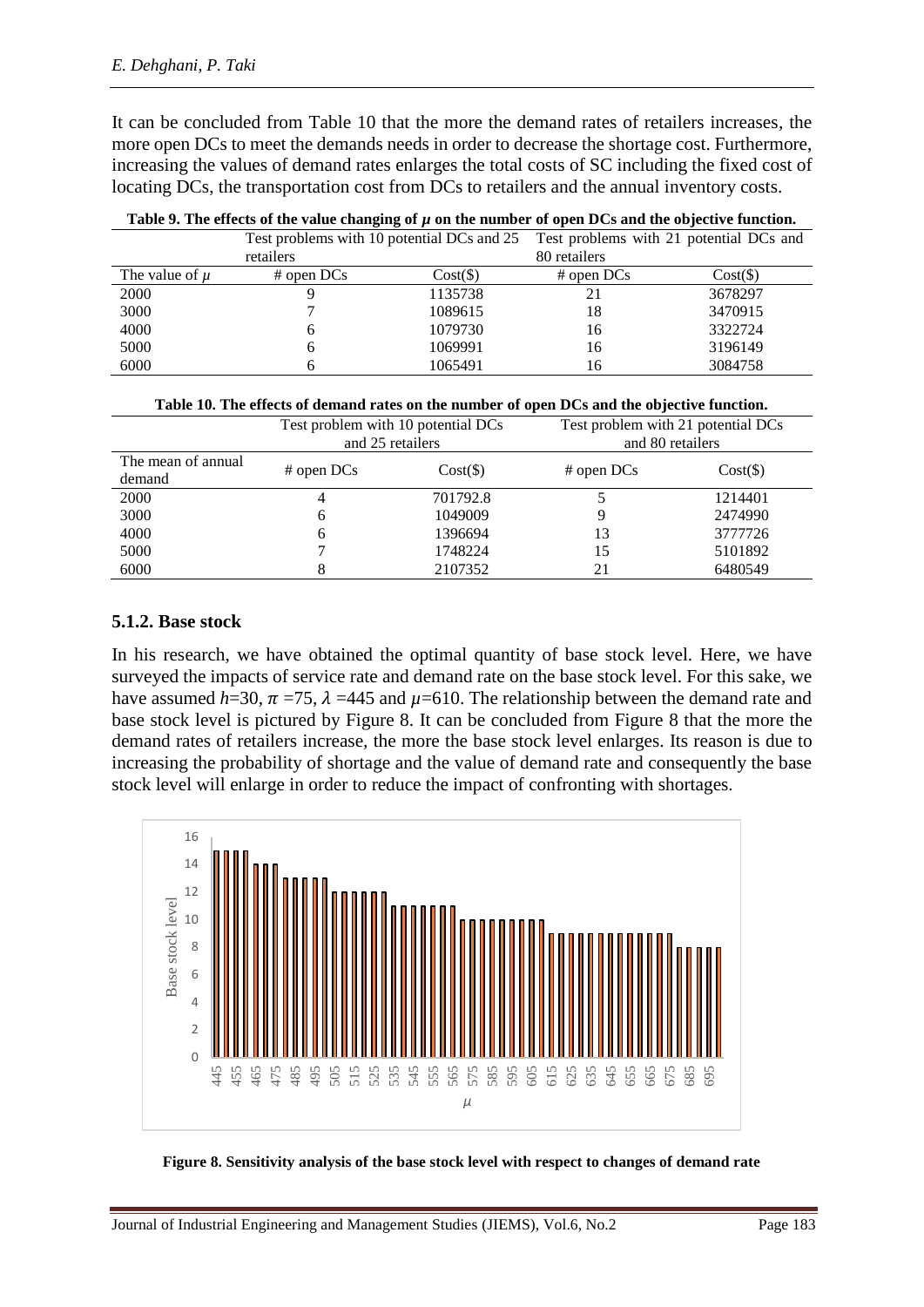It can be concluded from Table 10 that the more the demand rates of retailers increases*,* the more open DCs to meet the demands needs in order to decrease the shortage cost. Furthermore, increasing the values of demand rates enlarges the total costs of SC including the fixed cost of locating DCs, the transportation cost from DCs to retailers and the annual inventory costs.

| Table 2. The effects of the value changing of $\mu$ on the humber of open DCs and the objective function. |                                            |             |              |                                         |  |  |  |
|-----------------------------------------------------------------------------------------------------------|--------------------------------------------|-------------|--------------|-----------------------------------------|--|--|--|
|                                                                                                           | Test problems with 10 potential DCs and 25 |             |              | Test problems with 21 potential DCs and |  |  |  |
|                                                                                                           | retailers                                  |             | 80 retailers |                                         |  |  |  |
| The value of $\mu$                                                                                        | $#$ open DCs                               | $Cost(\$))$ | $#$ open DCs | $Cost(\$))$                             |  |  |  |
| 2000                                                                                                      |                                            | 1135738     |              | 3678297                                 |  |  |  |
| 3000                                                                                                      |                                            | 1089615     | 18           | 3470915                                 |  |  |  |
| 4000                                                                                                      |                                            | 1079730     | 16           | 3322724                                 |  |  |  |
| 5000                                                                                                      |                                            | 1069991     | 16           | 3196149                                 |  |  |  |
| 6000                                                                                                      |                                            | 1065491     | 16           | 3084758                                 |  |  |  |

| Table 9. The effects of the value changing of $\mu$ on the number of open DCs and the objective function. |  |  |
|-----------------------------------------------------------------------------------------------------------|--|--|
|-----------------------------------------------------------------------------------------------------------|--|--|

| Table 10. The effects of demand rates on the number of open DCs and the objective function. |  |  |
|---------------------------------------------------------------------------------------------|--|--|
|                                                                                             |  |  |

|                              | Test problem with 10 potential DCs<br>and 25 retailers |             | Test problem with 21 potential DCs<br>and 80 retailers |             |
|------------------------------|--------------------------------------------------------|-------------|--------------------------------------------------------|-------------|
| The mean of annual<br>demand | $#$ open DCs                                           | $Cost(\$))$ | $#$ open DCs                                           | $Cost(\$))$ |
| 2000                         | 4                                                      | 701792.8    |                                                        | 1214401     |
| 3000                         | 6                                                      | 1049009     |                                                        | 2474990     |
| 4000                         | 6                                                      | 1396694     | 13                                                     | 3777726     |
| 5000                         |                                                        | 1748224     | 15                                                     | 5101892     |
| 6000                         |                                                        | 2107352     | 21                                                     | 6480549     |

#### **5.1.2. Base stock**

In his research, we have obtained the optimal quantity of base stock level. Here, we have surveyed the impacts of service rate and demand rate on the base stock level. For this sake, we have assumed *h*=30,  $\pi$  =75,  $\lambda$  =445 and  $\mu$ =610. The relationship between the demand rate and base stock level is pictured by Figure 8. It can be concluded from Figure 8 that the more the demand rates of retailers increase*,* the more the base stock level enlarges. Its reason is due to increasing the probability of shortage and the value of demand rate and consequently the base stock level will enlarge in order to reduce the impact of confronting with shortages.



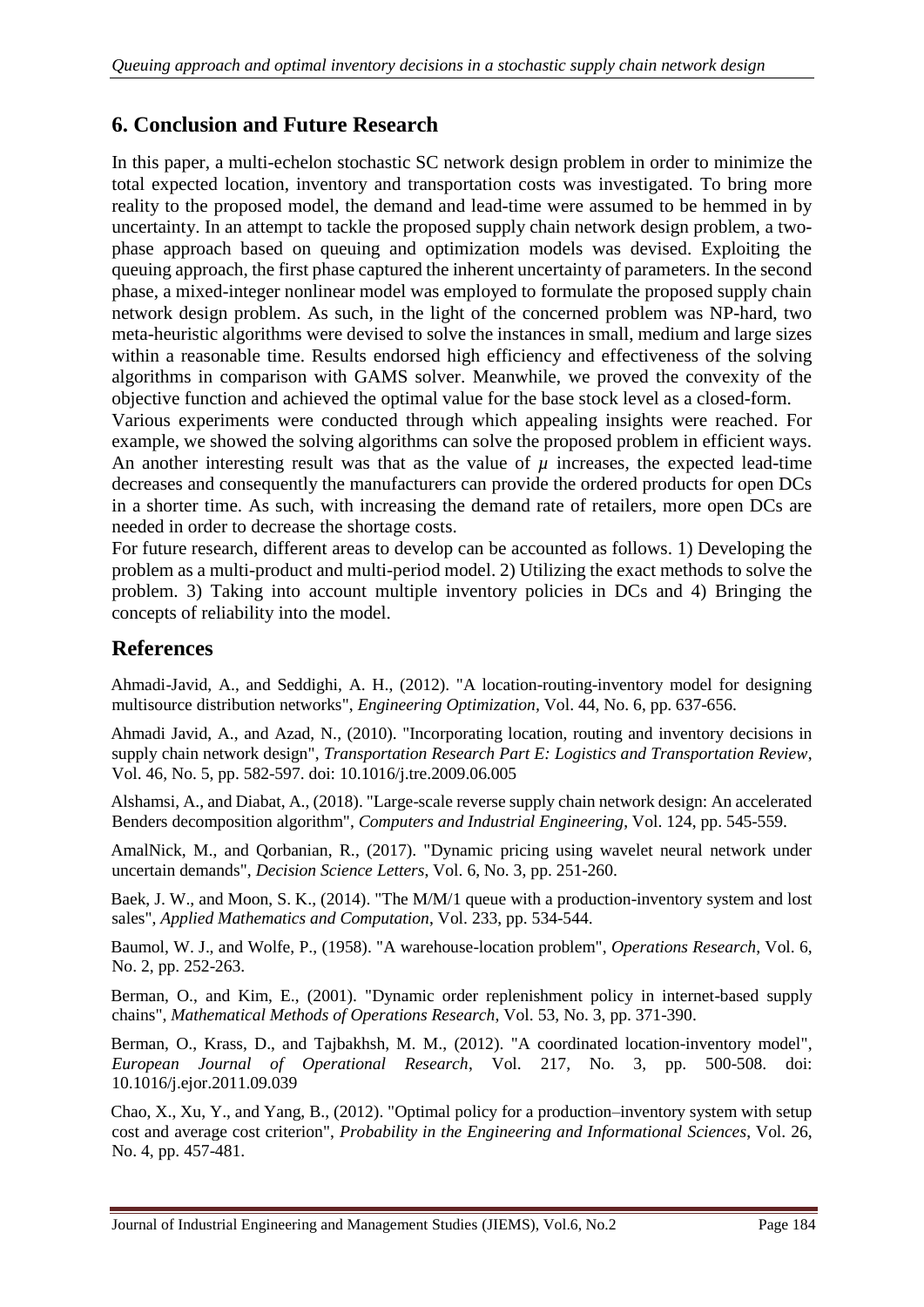## **6. Conclusion and Future Research**

In this paper, a multi-echelon stochastic SC network design problem in order to minimize the total expected location, inventory and transportation costs was investigated. To bring more reality to the proposed model, the demand and lead-time were assumed to be hemmed in by uncertainty. In an attempt to tackle the proposed supply chain network design problem, a twophase approach based on queuing and optimization models was devised. Exploiting the queuing approach, the first phase captured the inherent uncertainty of parameters. In the second phase, a mixed-integer nonlinear model was employed to formulate the proposed supply chain network design problem. As such, in the light of the concerned problem was NP-hard, two meta-heuristic algorithms were devised to solve the instances in small, medium and large sizes within a reasonable time. Results endorsed high efficiency and effectiveness of the solving algorithms in comparison with GAMS solver. Meanwhile, we proved the convexity of the objective function and achieved the optimal value for the base stock level as a closed-form.

Various experiments were conducted through which appealing insights were reached. For example, we showed the solving algorithms can solve the proposed problem in efficient ways. An another interesting result was that as the value of  $\mu$  increases, the expected lead-time decreases and consequently the manufacturers can provide the ordered products for open DCs in a shorter time. As such, with increasing the demand rate of retailers*,* more open DCs are needed in order to decrease the shortage costs.

For future research, different areas to develop can be accounted as follows. 1) Developing the problem as a multi-product and multi-period model. 2) Utilizing the exact methods to solve the problem. 3) Taking into account multiple inventory policies in DCs and 4) Bringing the concepts of reliability into the model.

### **References**

<span id="page-19-2"></span>Ahmadi-Javid, A., and Seddighi, A. H., (2012). "A location-routing-inventory model for designing multisource distribution networks", *Engineering Optimization,* Vol. 44, No. 6, pp. 637-656.

<span id="page-19-7"></span>Ahmadi Javid, A., and Azad, N., (2010). "Incorporating location, routing and inventory decisions in supply chain network design", *Transportation Research Part E: Logistics and Transportation Review*, Vol. 46, No. 5, pp. 582-597. doi: 10.1016/j.tre.2009.06.005

<span id="page-19-4"></span>Alshamsi, A., and Diabat, A., (2018). "Large-scale reverse supply chain network design: An accelerated Benders decomposition algorithm", *Computers and Industrial Engineering*, Vol. 124, pp. 545-559.

AmalNick, M., and Qorbanian, R., (2017). "Dynamic pricing using wavelet neural network under uncertain demands", *Decision Science Letters*, Vol. 6, No. 3, pp. 251-260.

<span id="page-19-6"></span>Baek, J. W., and Moon, S. K., (2014). "The M/M/1 queue with a production-inventory system and lost sales", *Applied Mathematics and Computation*, Vol. 233, pp. 534-544.

<span id="page-19-1"></span>Baumol, W. J., and Wolfe, P., (1958). "A warehouse-location problem", *Operations Research*, Vol. 6, No. 2, pp. 252-263.

<span id="page-19-5"></span>Berman, O., and Kim, E., (2001). "Dynamic order replenishment policy in internet-based supply chains", *Mathematical Methods of Operations Research*, Vol. 53, No. 3, pp. 371-390.

<span id="page-19-3"></span>Berman, O., Krass, D., and Tajbakhsh, M. M., (2012). "A coordinated location-inventory model", *European Journal of Operational Research*, Vol. 217, No. 3, pp. 500-508. doi: 10.1016/j.ejor.2011.09.039

<span id="page-19-0"></span>Chao, X., Xu, Y., and Yang, B., (2012). "Optimal policy for a production–inventory system with setup cost and average cost criterion", *Probability in the Engineering and Informational Sciences*, Vol. 26, No. 4, pp. 457-481.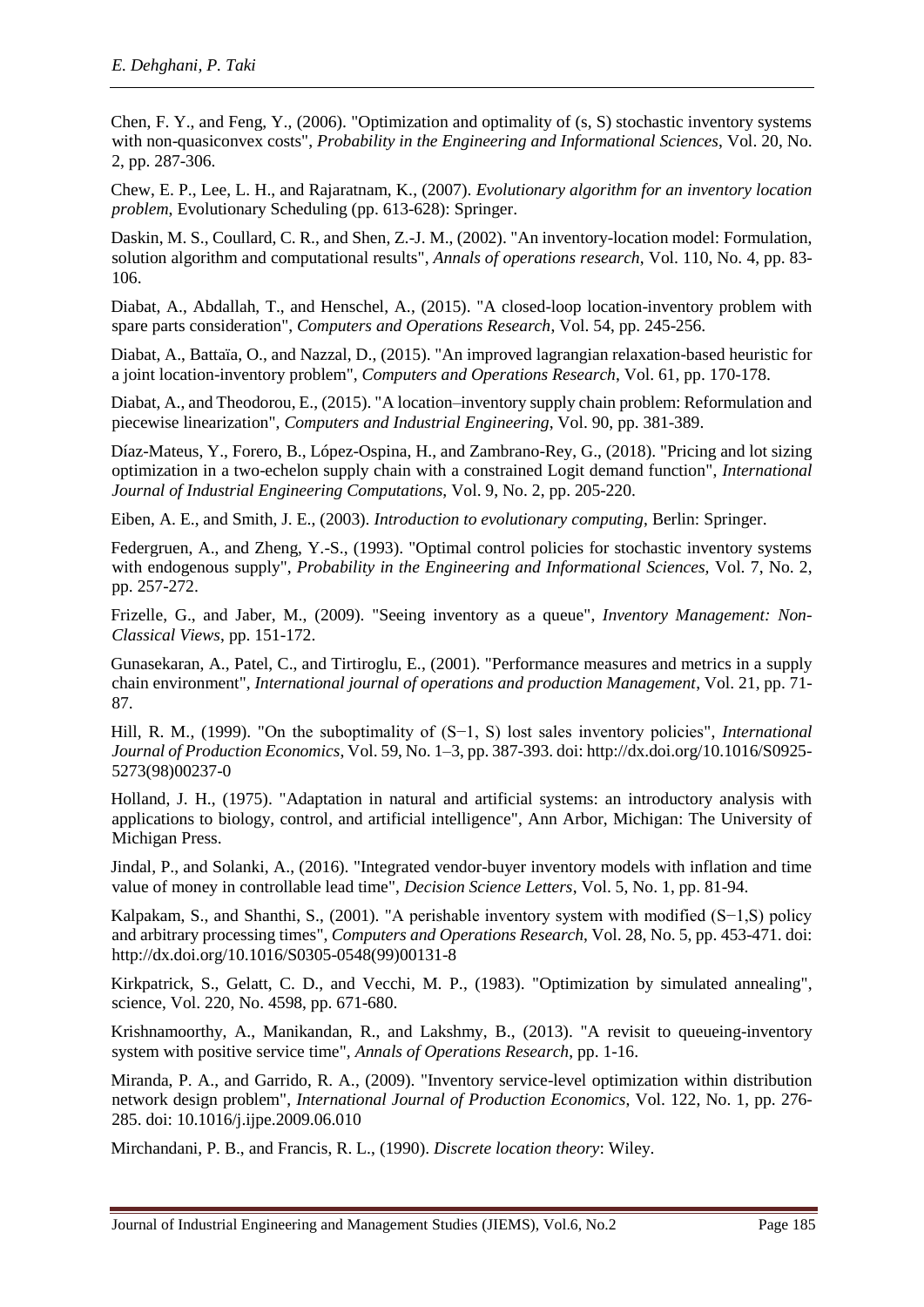<span id="page-20-6"></span>Chen, F. Y., and Feng, Y., (2006). "Optimization and optimality of (s, S) stochastic inventory systems with non-quasiconvex costs", *Probability in the Engineering and Informational Sciences*, Vol. 20, No. 2, pp. 287-306.

<span id="page-20-10"></span>Chew, E. P., Lee, L. H., and Rajaratnam, K., (2007). *Evolutionary algorithm for an inventory location problem*, Evolutionary Scheduling (pp. 613-628): Springer.

<span id="page-20-9"></span>Daskin, M. S., Coullard, C. R., and Shen, Z.-J. M., (2002). "An inventory-location model: Formulation, solution algorithm and computational results", *Annals of operations research*, Vol. 110, No. 4, pp. 83- 106.

<span id="page-20-11"></span>Diabat, A., Abdallah, T., and Henschel, A., (2015). "A closed-loop location-inventory problem with spare parts consideration", *Computers and Operations Research*, Vol. 54, pp. 245-256.

<span id="page-20-3"></span>Diabat, A., Battaïa, O., and Nazzal, D., (2015). "An improved lagrangian relaxation-based heuristic for a joint location-inventory problem", *Computers and Operations Research*, Vol. 61, pp. 170-178.

<span id="page-20-0"></span>Diabat, A., and Theodorou, E., (2015). "A location–inventory supply chain problem: Reformulation and piecewise linearization", *Computers and Industrial Engineering*, Vol. 90, pp. 381-389.

Díaz-Mateus, Y., Forero, B., López-Ospina, H., and Zambrano-Rey, G., (2018). "Pricing and lot sizing optimization in a two-echelon supply chain with a constrained Logit demand function", *International Journal of Industrial Engineering Computations*, Vol. 9, No. 2, pp. 205-220.

<span id="page-20-16"></span>Eiben, A. E., and Smith, J. E., (2003). *Introduction to evolutionary computing*, Berlin: Springer.

<span id="page-20-5"></span>Federgruen, A., and Zheng, Y.-S., (1993). "Optimal control policies for stochastic inventory systems with endogenous supply", *Probability in the Engineering and Informational Sciences,* Vol. 7, No. 2, pp. 257-272.

<span id="page-20-13"></span>Frizelle, G., and Jaber, M., (2009). "Seeing inventory as a queue", *Inventory Management: Non-Classical Views*, pp. 151-172.

<span id="page-20-2"></span>Gunasekaran, A., Patel, C., and Tirtiroglu, E., (2001). "Performance measures and metrics in a supply chain environment", *International journal of operations and production Management*, Vol. 21, pp. 71- 87.

<span id="page-20-7"></span>Hill, R. M., (1999). "On the suboptimality of (S−1, S) lost sales inventory policies", *International Journal of Production Economics*, Vol. 59, No. 1–3, pp. 387-393. doi: [http://dx.doi.org/10.1016/S0925-](http://dx.doi.org/10.1016/S0925-5273(98)00237-0) [5273\(98\)00237-0](http://dx.doi.org/10.1016/S0925-5273(98)00237-0)

<span id="page-20-15"></span>Holland, J. H., (1975). "Adaptation in natural and artificial systems: an introductory analysis with applications to biology, control, and artificial intelligence", Ann Arbor, Michigan: The University of Michigan Press.

Jindal, P., and Solanki, A., (2016). "Integrated vendor-buyer inventory models with inflation and time value of money in controllable lead time", *Decision Science Letters*, Vol. 5, No. 1, pp. 81-94.

<span id="page-20-8"></span>Kalpakam, S., and Shanthi, S., (2001). "A perishable inventory system with modified (S−1,S) policy and arbitrary processing times", *Computers and Operations Research*, Vol. 28, No. 5, pp. 453-471. doi: [http://dx.doi.org/10.1016/S0305-0548\(99\)00131-8](http://dx.doi.org/10.1016/S0305-0548(99)00131-8)

<span id="page-20-14"></span>Kirkpatrick, S., Gelatt, C. D., and Vecchi, M. P., (1983). "Optimization by simulated annealing", science, Vol. 220, No. 4598, pp. 671-680.

<span id="page-20-12"></span>Krishnamoorthy, A., Manikandan, R., and Lakshmy, B., (2013). "A revisit to queueing-inventory system with positive service time", *Annals of Operations Research*, pp. 1-16.

<span id="page-20-1"></span>Miranda, P. A., and Garrido, R. A., (2009). "Inventory service-level optimization within distribution network design problem", *International Journal of Production Economics*, Vol. 122, No. 1, pp. 276- 285. doi: 10.1016/j.ijpe.2009.06.010

<span id="page-20-4"></span>Mirchandani, P. B., and Francis, R. L., (1990). *Discrete location theory*: Wiley.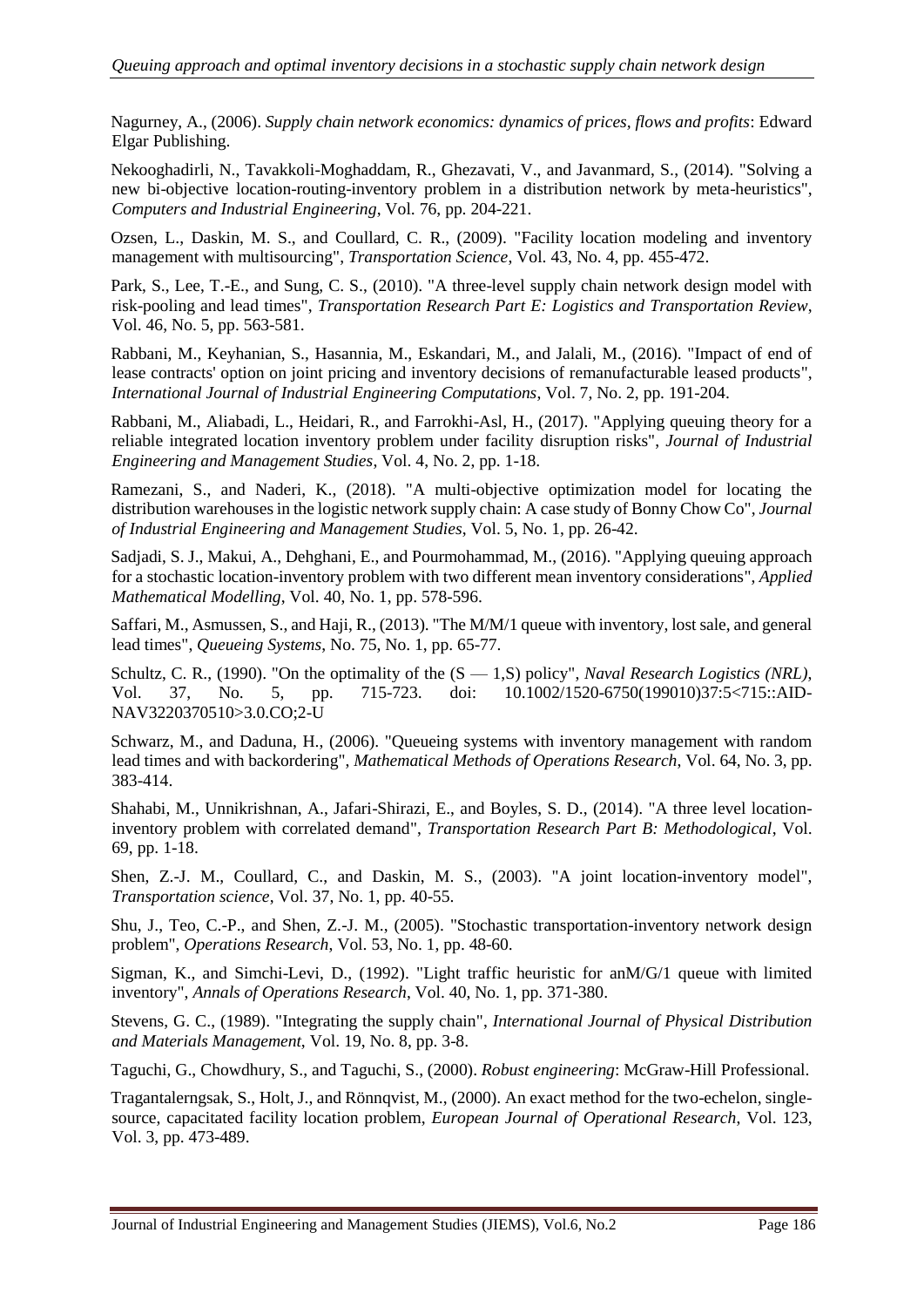<span id="page-21-0"></span>Nagurney, A., (2006). *Supply chain network economics: dynamics of prices, flows and profits*: Edward Elgar Publishing.

<span id="page-21-16"></span>Nekooghadirli, N., Tavakkoli-Moghaddam, R., Ghezavati, V., and Javanmard, S., (2014). "Solving a new bi-objective location-routing-inventory problem in a distribution network by meta-heuristics", *Computers and Industrial Engineering*, Vol. 76, pp. 204-221.

<span id="page-21-8"></span>Ozsen, L., Daskin, M. S., and Coullard, C. R., (2009). "Facility location modeling and inventory management with multisourcing", *Transportation Science*, Vol. 43, No. 4, pp. 455-472.

<span id="page-21-9"></span>Park, S., Lee, T.-E., and Sung, C. S., (2010). "A three-level supply chain network design model with risk-pooling and lead times", *Transportation Research Part E: Logistics and Transportation Review*, Vol. 46, No. 5, pp. 563-581.

Rabbani, M., Keyhanian, S., Hasannia, M., Eskandari, M., and Jalali, M., (2016). "Impact of end of lease contracts' option on joint pricing and inventory decisions of remanufacturable leased products", *International Journal of Industrial Engineering Computations*, Vol. 7, No. 2, pp. 191-204.

<span id="page-21-11"></span>Rabbani, M., Aliabadi, L., Heidari, R., and Farrokhi-Asl, H., (2017). "Applying queuing theory for a reliable integrated location inventory problem under facility disruption risks", *Journal of Industrial Engineering and Management Studies*, Vol. 4, No. 2, pp. 1-18.

<span id="page-21-3"></span>Ramezani, S., and Naderi, K., (2018). "A multi-objective optimization model for locating the distribution warehouses in the logistic network supply chain: A case study of Bonny Chow Co", *Journal of Industrial Engineering and Management Studies*, Vol. 5, No. 1, pp. 26-42.

<span id="page-21-1"></span>Sadjadi, S. J., Makui, A., Dehghani, E., and Pourmohammad, M., (2016). "Applying queuing approach for a stochastic location-inventory problem with two different mean inventory considerations", *Applied Mathematical Modelling*, Vol. 40, No. 1, pp. 578-596.

<span id="page-21-14"></span>Saffari, M., Asmussen, S., and Haji, R., (2013). "The M/M/1 queue with inventory, lost sale, and general lead times", *Queueing Systems*, No. 75, No. 1, pp. 65-77.

<span id="page-21-4"></span>Schultz, C. R., (1990). "On the optimality of the  $(S - 1,S)$  policy", *Naval Research Logistics (NRL)*, Vol. 37, No. 5, pp. 715-723. doi: 10.1002/1520-6750(199010)37:5<715::AID-NAV3220370510>3.0.CO;2-U

<span id="page-21-13"></span>Schwarz, M., and Daduna, H., (2006). "Queueing systems with inventory management with random lead times and with backordering", *Mathematical Methods of Operations Research*, Vol. 64, No. 3, pp. 383-414.

<span id="page-21-10"></span>Shahabi, M., Unnikrishnan, A., Jafari-Shirazi, E., and Boyles, S. D., (2014). "A three level locationinventory problem with correlated demand", *Transportation Research Part B: Methodological*, Vol. 69, pp. 1-18.

<span id="page-21-7"></span>Shen, Z.-J. M., Coullard, C., and Daskin, M. S., (2003). "A joint location-inventory model", *Transportation science*, Vol. 37, No. 1, pp. 40-55.

<span id="page-21-6"></span>Shu, J., Teo, C.-P., and Shen, Z.-J. M., (2005). "Stochastic transportation-inventory network design problem", *Operations Research*, Vol. 53, No. 1, pp. 48-60.

<span id="page-21-12"></span>Sigman, K., and Simchi-Levi, D., (1992). "Light traffic heuristic for anM/G/1 queue with limited inventory", *Annals of Operations Research*, Vol. 40, No. 1, pp. 371-380.

<span id="page-21-2"></span>Stevens, G. C., (1989). "Integrating the supply chain", *International Journal of Physical Distribution and Materials Management*, Vol. 19, No. 8, pp. 3-8.

<span id="page-21-15"></span>Taguchi, G., Chowdhury, S., and Taguchi, S., (2000). *Robust engineering*: McGraw-Hill Professional.

<span id="page-21-5"></span>Tragantalerngsak, S., Holt, J., and Rönnqvist, M., (2000). An exact method for the two-echelon, singlesource, capacitated facility location problem, *European Journal of Operational Research*, Vol. 123, Vol. 3, pp. 473-489.